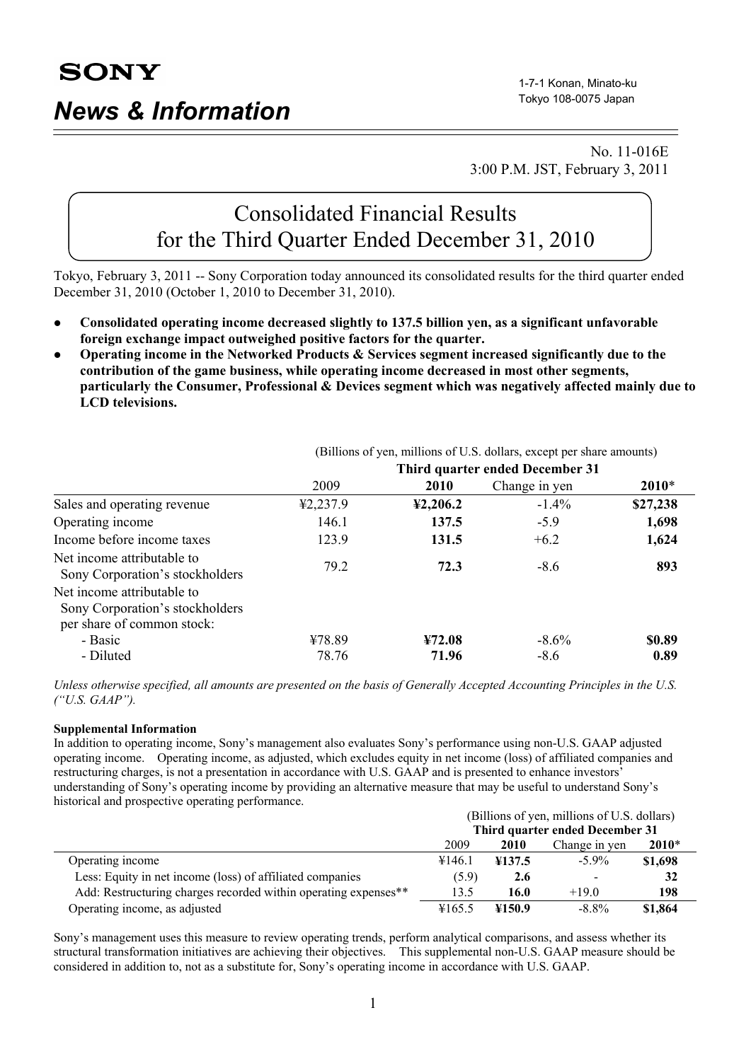# **SONY**

# *News & Information*

## No. 11-016E 3:00 P.M. JST, February 3, 2011

# Consolidated Financial Results for the Third Quarter Ended December 31, 2010

Tokyo, February 3, 2011 -- Sony Corporation today announced its consolidated results for the third quarter ended December 31, 2010 (October 1, 2010 to December 31, 2010).

- **•** Consolidated operating income decreased slightly to 137.5 billion yen, as a significant unfavorable **foreign exchange impact outweighed positive factors for the quarter.**
- **•** Operating income in the Networked Products & Services segment increased significantly due to the **contribution of the game business, while operating income decreased in most other segments, particularly the Consumer, Professional & Devices segment which was negatively affected mainly due to LCD televisions.**

|                                                                                             | (Billions of yen, millions of U.S. dollars, except per share amounts)<br>Third quarter ended December 31 |             |               |          |  |  |
|---------------------------------------------------------------------------------------------|----------------------------------------------------------------------------------------------------------|-------------|---------------|----------|--|--|
|                                                                                             |                                                                                                          |             |               |          |  |  |
|                                                                                             | 2009                                                                                                     | <b>2010</b> | Change in yen | $2010*$  |  |  |
| Sales and operating revenue                                                                 | 42,237.9                                                                                                 | 42,206.2    | $-1.4%$       | \$27,238 |  |  |
| Operating income                                                                            | 146.1                                                                                                    | 137.5       | $-5.9$        | 1,698    |  |  |
| Income before income taxes                                                                  | 123.9                                                                                                    | 131.5       | $+6.2$        | 1,624    |  |  |
| Net income attributable to<br>Sony Corporation's stockholders                               | 79.2                                                                                                     | 72.3        | $-8.6$        | 893      |  |  |
| Net income attributable to<br>Sony Corporation's stockholders<br>per share of common stock: |                                                                                                          |             |               |          |  |  |
| - Basic                                                                                     | ¥78.89                                                                                                   | ¥72.08      | $-8.6\%$      | \$0.89   |  |  |
| - Diluted                                                                                   | 78.76                                                                                                    | 71.96       | $-8.6$        | 0.89     |  |  |

*Unless otherwise specified, all amounts are presented on the basis of Generally Accepted Accounting Principles in the U.S. ("U.S. GAAP").* 

## **Supplemental Information**

In addition to operating income, Sony's management also evaluates Sony's performance using non-U.S. GAAP adjusted operating income. Operating income, as adjusted, which excludes equity in net income (loss) of affiliated companies and restructuring charges, is not a presentation in accordance with U.S. GAAP and is presented to enhance investors' understanding of Sony's operating income by providing an alternative measure that may be useful to understand Sony's historical and prospective operating performance.

|                                                                 | (Billions of yen, millions of U.S. dollars) |        |                          |         |  |  |
|-----------------------------------------------------------------|---------------------------------------------|--------|--------------------------|---------|--|--|
|                                                                 | Third quarter ended December 31             |        |                          |         |  |  |
|                                                                 | 2009<br>2010<br>Change in yen               |        |                          |         |  |  |
| Operating income                                                | ¥146.1                                      | ¥137.5 | $-5.9\%$                 | \$1,698 |  |  |
| Less: Equity in net income (loss) of affiliated companies       | (5.9)                                       | 2.6    | $\overline{\phantom{a}}$ | 32      |  |  |
| Add: Restructuring charges recorded within operating expenses** | 13.5                                        | 16.0   | $+19.0$                  | 198     |  |  |
| Operating income, as adjusted                                   | 4165.5                                      | ¥150.9 | $-8.8\%$                 | \$1,864 |  |  |

Sony's management uses this measure to review operating trends, perform analytical comparisons, and assess whether its structural transformation initiatives are achieving their objectives. This supplemental non-U.S. GAAP measure should be considered in addition to, not as a substitute for, Sony's operating income in accordance with U.S. GAAP.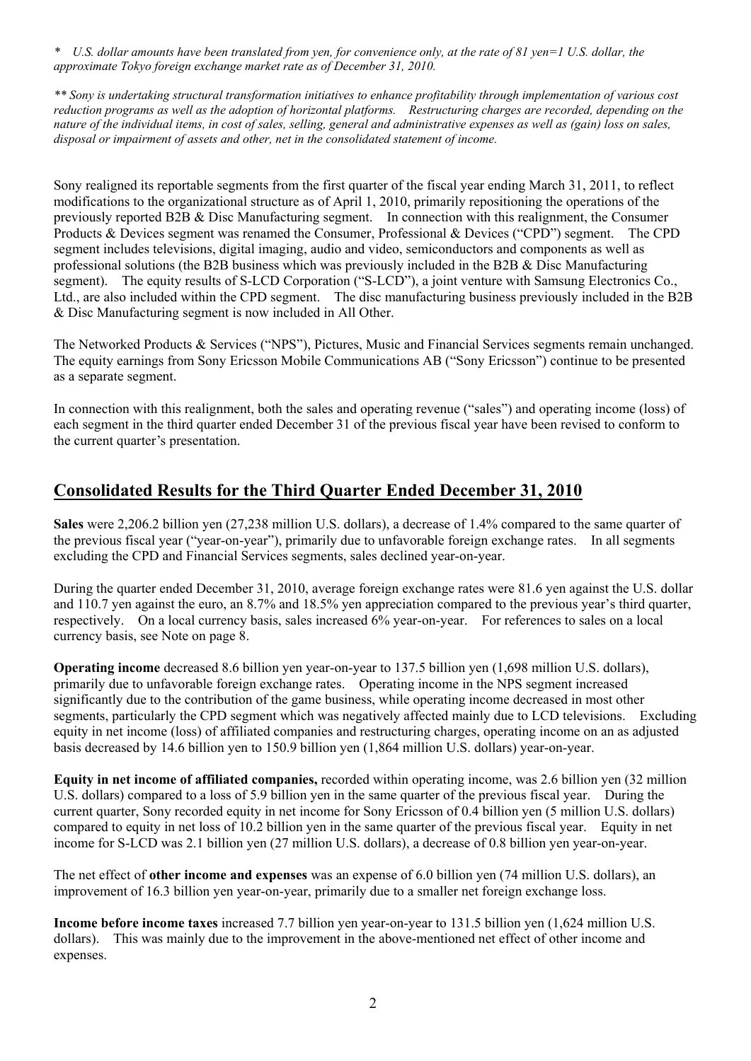*\* U.S. dollar amounts have been translated from yen, for convenience only, at the rate of 81 yen=1 U.S. dollar, the approximate Tokyo foreign exchange market rate as of December 31, 2010.* 

*\*\* Sony is undertaking structural transformation initiatives to enhance profitability through implementation of various cost reduction programs as well as the adoption of horizontal platforms. Restructuring charges are recorded, depending on the nature of the individual items, in cost of sales, selling, general and administrative expenses as well as (gain) loss on sales, disposal or impairment of assets and other, net in the consolidated statement of income.* 

Sony realigned its reportable segments from the first quarter of the fiscal year ending March 31, 2011, to reflect modifications to the organizational structure as of April 1, 2010, primarily repositioning the operations of the previously reported B2B & Disc Manufacturing segment. In connection with this realignment, the Consumer Products & Devices segment was renamed the Consumer, Professional & Devices ("CPD") segment. The CPD segment includes televisions, digital imaging, audio and video, semiconductors and components as well as professional solutions (the B2B business which was previously included in the B2B & Disc Manufacturing segment). The equity results of S-LCD Corporation ("S-LCD"), a joint venture with Samsung Electronics Co., Ltd., are also included within the CPD segment. The disc manufacturing business previously included in the B2B & Disc Manufacturing segment is now included in All Other.

The Networked Products & Services ("NPS"), Pictures, Music and Financial Services segments remain unchanged. The equity earnings from Sony Ericsson Mobile Communications AB ("Sony Ericsson") continue to be presented as a separate segment.

In connection with this realignment, both the sales and operating revenue ("sales") and operating income (loss) of each segment in the third quarter ended December 31 of the previous fiscal year have been revised to conform to the current quarter's presentation.

## **Consolidated Results for the Third Quarter Ended December 31, 2010**

**Sales** were 2,206.2 billion yen (27,238 million U.S. dollars), a decrease of 1.4% compared to the same quarter of the previous fiscal year ("year-on-year"), primarily due to unfavorable foreign exchange rates. In all segments excluding the CPD and Financial Services segments, sales declined year-on-year.

During the quarter ended December 31, 2010, average foreign exchange rates were 81.6 yen against the U.S. dollar and 110.7 yen against the euro, an 8.7% and 18.5% yen appreciation compared to the previous year's third quarter, respectively. On a local currency basis, sales increased 6% year-on-year. For references to sales on a local currency basis, see Note on page 8.

**Operating income** decreased 8.6 billion yen year-on-year to 137.5 billion yen (1,698 million U.S. dollars), primarily due to unfavorable foreign exchange rates. Operating income in the NPS segment increased significantly due to the contribution of the game business, while operating income decreased in most other segments, particularly the CPD segment which was negatively affected mainly due to LCD televisions. Excluding equity in net income (loss) of affiliated companies and restructuring charges, operating income on an as adjusted basis decreased by 14.6 billion yen to 150.9 billion yen (1,864 million U.S. dollars) year-on-year.

**Equity in net income of affiliated companies,** recorded within operating income, was 2.6 billion yen (32 million U.S. dollars) compared to a loss of 5.9 billion yen in the same quarter of the previous fiscal year. During the current quarter, Sony recorded equity in net income for Sony Ericsson of 0.4 billion yen (5 million U.S. dollars) compared to equity in net loss of 10.2 billion yen in the same quarter of the previous fiscal year. Equity in net income for S-LCD was 2.1 billion yen (27 million U.S. dollars), a decrease of 0.8 billion yen year-on-year.

The net effect of **other income and expenses** was an expense of 6.0 billion yen (74 million U.S. dollars), an improvement of 16.3 billion yen year-on-year, primarily due to a smaller net foreign exchange loss.

**Income before income taxes** increased 7.7 billion yen year-on-year to 131.5 billion yen (1,624 million U.S. dollars). This was mainly due to the improvement in the above-mentioned net effect of other income and expenses.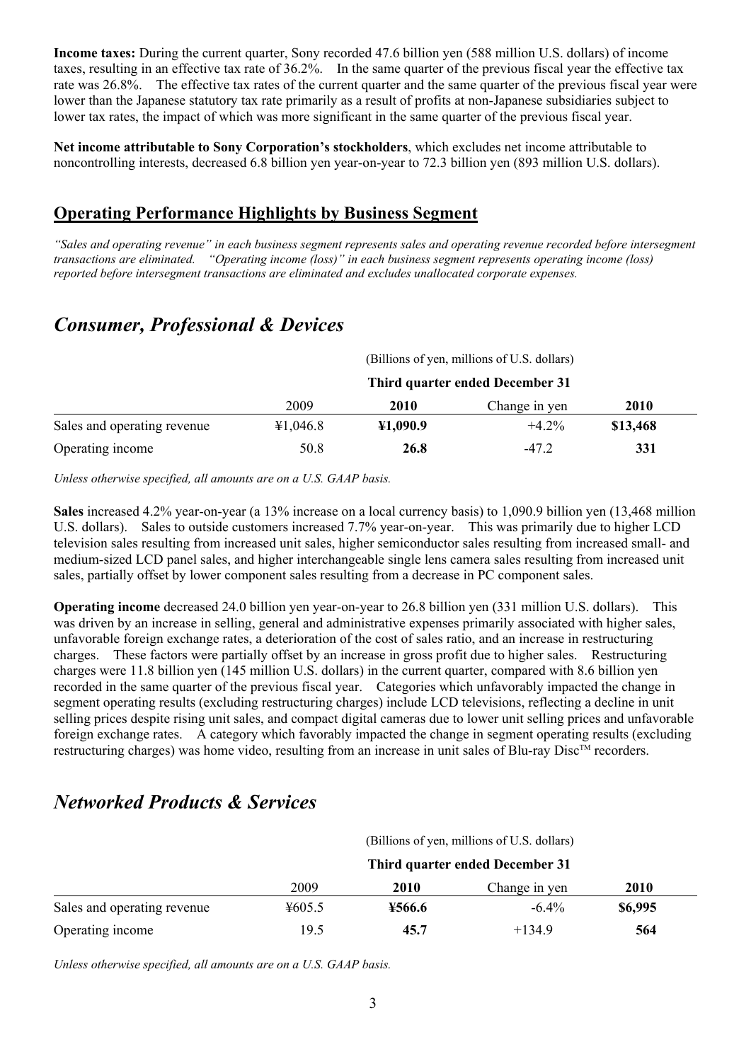**Income taxes:** During the current quarter, Sony recorded 47.6 billion yen (588 million U.S. dollars) of income taxes, resulting in an effective tax rate of 36.2%. In the same quarter of the previous fiscal year the effective tax rate was 26.8%. The effective tax rates of the current quarter and the same quarter of the previous fiscal year were lower than the Japanese statutory tax rate primarily as a result of profits at non-Japanese subsidiaries subject to lower tax rates, the impact of which was more significant in the same quarter of the previous fiscal year.

**Net income attributable to Sony Corporation's stockholders**, which excludes net income attributable to noncontrolling interests, decreased 6.8 billion yen year-on-year to 72.3 billion yen (893 million U.S. dollars).

## **Operating Performance Highlights by Business Segment**

*"Sales and operating revenue" in each business segment represents sales and operating revenue recorded before intersegment transactions are eliminated. "Operating income (loss)" in each business segment represents operating income (loss) reported before intersegment transactions are eliminated and excludes unallocated corporate expenses.* 

# *Consumer, Professional & Devices*

|                             | (Billions of yen, millions of U.S. dollars) |          |               |             |  |  |  |
|-----------------------------|---------------------------------------------|----------|---------------|-------------|--|--|--|
|                             | Third quarter ended December 31             |          |               |             |  |  |  |
|                             | 2009                                        | 2010     | Change in yen | <b>2010</b> |  |  |  |
| Sales and operating revenue | ¥1,046.8                                    | 41,090.9 | $+4.2\%$      | \$13,468    |  |  |  |
| Operating income            | 50.8                                        | 26.8     | $-47.2$       | 331         |  |  |  |

*Unless otherwise specified, all amounts are on a U.S. GAAP basis.* 

**Sales** increased 4.2% year-on-year (a 13% increase on a local currency basis) to 1,090.9 billion yen (13,468 million U.S. dollars). Sales to outside customers increased 7.7% year-on-year. This was primarily due to higher LCD television sales resulting from increased unit sales, higher semiconductor sales resulting from increased small- and medium-sized LCD panel sales, and higher interchangeable single lens camera sales resulting from increased unit sales, partially offset by lower component sales resulting from a decrease in PC component sales.

**Operating income** decreased 24.0 billion yen year-on-year to 26.8 billion yen (331 million U.S. dollars). This was driven by an increase in selling, general and administrative expenses primarily associated with higher sales, unfavorable foreign exchange rates, a deterioration of the cost of sales ratio, and an increase in restructuring charges. These factors were partially offset by an increase in gross profit due to higher sales. Restructuring charges were 11.8 billion yen (145 million U.S. dollars) in the current quarter, compared with 8.6 billion yen recorded in the same quarter of the previous fiscal year. Categories which unfavorably impacted the change in segment operating results (excluding restructuring charges) include LCD televisions, reflecting a decline in unit selling prices despite rising unit sales, and compact digital cameras due to lower unit selling prices and unfavorable foreign exchange rates. A category which favorably impacted the change in segment operating results (excluding restructuring charges) was home video, resulting from an increase in unit sales of Blu-ray Disc™ recorders.

# *Networked Products & Services*

|                             | (Billions of yen, millions of U.S. dollars)<br>Third quarter ended December 31 |        |               |         |  |  |
|-----------------------------|--------------------------------------------------------------------------------|--------|---------------|---------|--|--|
|                             |                                                                                |        |               |         |  |  |
|                             | 2009                                                                           | 2010   | Change in yen | 2010    |  |  |
| Sales and operating revenue | ¥605.5                                                                         | ¥566.6 | $-6.4\%$      | \$6,995 |  |  |
| Operating income            | 19.5                                                                           | 45.7   | $+134.9$      | 564     |  |  |

*Unless otherwise specified, all amounts are on a U.S. GAAP basis.*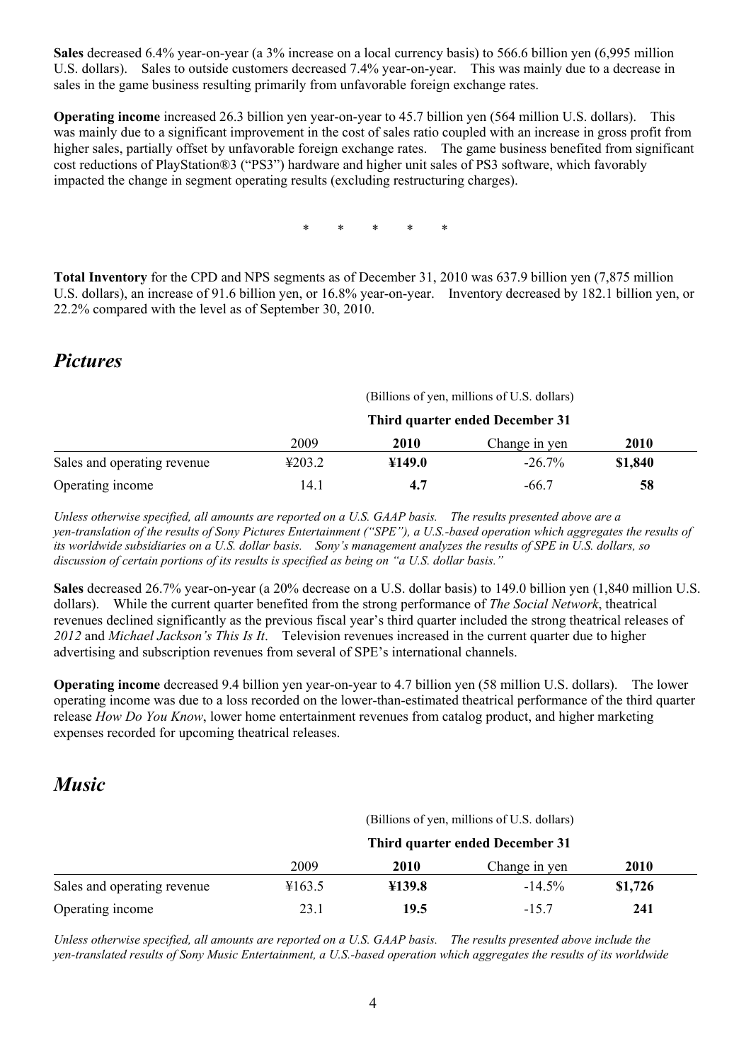**Sales** decreased 6.4% year-on-year (a 3% increase on a local currency basis) to 566.6 billion yen (6,995 million U.S. dollars). Sales to outside customers decreased 7.4% year-on-year. This was mainly due to a decrease in sales in the game business resulting primarily from unfavorable foreign exchange rates.

**Operating income** increased 26.3 billion yen year-on-year to 45.7 billion yen (564 million U.S. dollars). This was mainly due to a significant improvement in the cost of sales ratio coupled with an increase in gross profit from higher sales, partially offset by unfavorable foreign exchange rates. The game business benefited from significant cost reductions of PlayStation®3 ("PS3") hardware and higher unit sales of PS3 software, which favorably impacted the change in segment operating results (excluding restructuring charges).

\* \* \* \* \*

**Total Inventory** for the CPD and NPS segments as of December 31, 2010 was 637.9 billion yen (7,875 million U.S. dollars), an increase of 91.6 billion yen, or 16.8% year-on-year. Inventory decreased by 182.1 billion yen, or 22.2% compared with the level as of September 30, 2010.

## *Pictures*

(Billions of yen, millions of U.S. dollars)

|                             | Third quarter ended December 31 |        |               |         |  |
|-----------------------------|---------------------------------|--------|---------------|---------|--|
|                             | 2009                            | 2010   | Change in yen | 2010    |  |
| Sales and operating revenue | 4203.2                          | ¥149.0 | $-26.7\%$     | \$1,840 |  |
| Operating income            | 14.1                            | 4.7    | $-66.7$       | 58      |  |

*Unless otherwise specified, all amounts are reported on a U.S. GAAP basis. The results presented above are a yen-translation of the results of Sony Pictures Entertainment ("SPE"), a U.S.-based operation which aggregates the results of its worldwide subsidiaries on a U.S. dollar basis. Sony's management analyzes the results of SPE in U.S. dollars, so discussion of certain portions of its results is specified as being on "a U.S. dollar basis."* 

**Sales** decreased 26.7% year-on-year (a 20% decrease on a U.S. dollar basis) to 149.0 billion yen (1,840 million U.S. dollars). While the current quarter benefited from the strong performance of *The Social Network*, theatrical revenues declined significantly as the previous fiscal year's third quarter included the strong theatrical releases of *2012* and *Michael Jackson's This Is It*. Television revenues increased in the current quarter due to higher advertising and subscription revenues from several of SPE's international channels.

**Operating income** decreased 9.4 billion yen year-on-year to 4.7 billion yen (58 million U.S. dollars). The lower operating income was due to a loss recorded on the lower-than-estimated theatrical performance of the third quarter release *How Do You Know*, lower home entertainment revenues from catalog product, and higher marketing expenses recorded for upcoming theatrical releases.

# *Music*

(Billions of yen, millions of U.S. dollars)

|                             | Third quarter ended December 31 |        |               |         |  |
|-----------------------------|---------------------------------|--------|---------------|---------|--|
|                             | 2009                            | 2010   | Change in yen | 2010    |  |
| Sales and operating revenue | ¥163.5                          | ¥139.8 | $-14.5\%$     | \$1,726 |  |
| Operating income            | 23.1                            | 19.5   | $-15.7$       | 241     |  |

*Unless otherwise specified, all amounts are reported on a U.S. GAAP basis. The results presented above include the yen-translated results of Sony Music Entertainment, a U.S.-based operation which aggregates the results of its worldwide*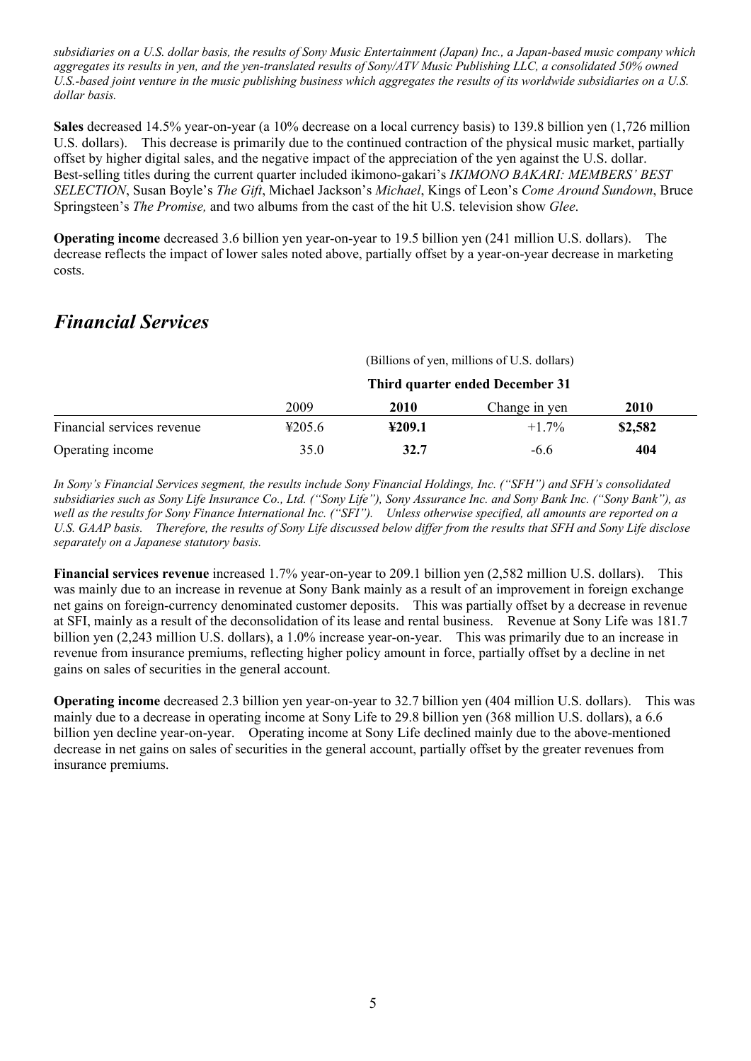*subsidiaries on a U.S. dollar basis, the results of Sony Music Entertainment (Japan) Inc., a Japan-based music company which aggregates its results in yen, and the yen-translated results of Sony/ATV Music Publishing LLC, a consolidated 50% owned U.S.-based joint venture in the music publishing business which aggregates the results of its worldwide subsidiaries on a U.S. dollar basis.* 

**Sales** decreased 14.5% year-on-year (a 10% decrease on a local currency basis) to 139.8 billion yen (1,726 million U.S. dollars). This decrease is primarily due to the continued contraction of the physical music market, partially offset by higher digital sales, and the negative impact of the appreciation of the yen against the U.S. dollar. Best-selling titles during the current quarter included ikimono-gakari's *IKIMONO BAKARI: MEMBERS' BEST SELECTION*, Susan Boyle's *The Gift*, Michael Jackson's *Michael*, Kings of Leon's *Come Around Sundown*, Bruce Springsteen's *The Promise,* and two albums from the cast of the hit U.S. television show *Glee*.

**Operating income** decreased 3.6 billion yen year-on-year to 19.5 billion yen (241 million U.S. dollars). The decrease reflects the impact of lower sales noted above, partially offset by a year-on-year decrease in marketing costs.

# *Financial Services*

|                            | (Billions of yen, millions of U.S. dollars) |        |               |             |  |  |  |
|----------------------------|---------------------------------------------|--------|---------------|-------------|--|--|--|
|                            | Third quarter ended December 31             |        |               |             |  |  |  |
|                            | 2009                                        | 2010   | Change in yen | <b>2010</b> |  |  |  |
| Financial services revenue | 4205.6                                      | ¥209.1 | $+1.7\%$      | \$2,582     |  |  |  |
| Operating income           | 35.0                                        | 32.7   | $-6.6$        | 404         |  |  |  |

*In Sony's Financial Services segment, the results include Sony Financial Holdings, Inc. ("SFH") and SFH's consolidated subsidiaries such as Sony Life Insurance Co., Ltd. ("Sony Life"), Sony Assurance Inc. and Sony Bank Inc. ("Sony Bank"), as well as the results for Sony Finance International Inc. ("SFI"). Unless otherwise specified, all amounts are reported on a U.S. GAAP basis. Therefore, the results of Sony Life discussed below differ from the results that SFH and Sony Life disclose separately on a Japanese statutory basis.* 

**Financial services revenue** increased 1.7% year-on-year to 209.1 billion yen (2,582 million U.S. dollars). This was mainly due to an increase in revenue at Sony Bank mainly as a result of an improvement in foreign exchange net gains on foreign-currency denominated customer deposits. This was partially offset by a decrease in revenue at SFI, mainly as a result of the deconsolidation of its lease and rental business. Revenue at Sony Life was 181.7 billion yen (2,243 million U.S. dollars), a 1.0% increase year-on-year. This was primarily due to an increase in revenue from insurance premiums, reflecting higher policy amount in force, partially offset by a decline in net gains on sales of securities in the general account.

**Operating income** decreased 2.3 billion yen year-on-year to 32.7 billion yen (404 million U.S. dollars). This was mainly due to a decrease in operating income at Sony Life to 29.8 billion yen (368 million U.S. dollars), a 6.6 billion yen decline year-on-year. Operating income at Sony Life declined mainly due to the above-mentioned decrease in net gains on sales of securities in the general account, partially offset by the greater revenues from insurance premiums.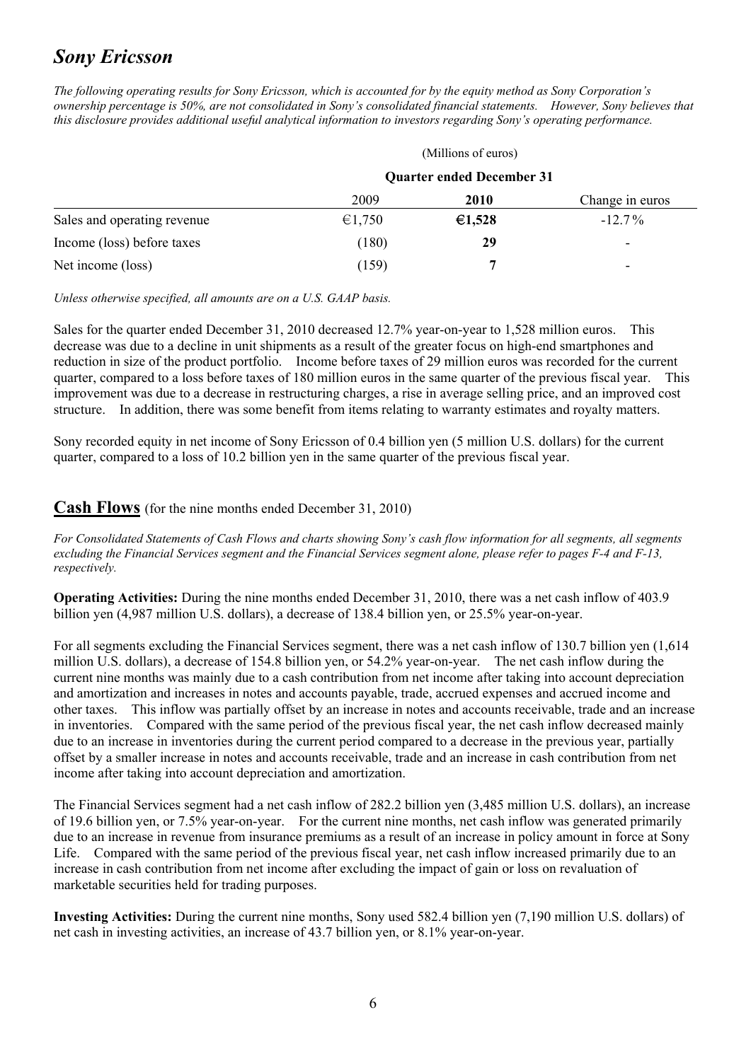# *Sony Ericsson*

*The following operating results for Sony Ericsson, which is accounted for by the equity method as Sony Corporation's ownership percentage is 50%, are not consolidated in Sony's consolidated financial statements. However, Sony believes that this disclosure provides additional useful analytical information to investors regarding Sony's operating performance.* 

|                             |                                  | (Millions of euros) |                 |  |  |
|-----------------------------|----------------------------------|---------------------|-----------------|--|--|
|                             | <b>Quarter ended December 31</b> |                     |                 |  |  |
|                             | 2009                             | <b>2010</b>         | Change in euros |  |  |
| Sales and operating revenue | €1,750                           | €1,528              | $-12.7\%$       |  |  |
| Income (loss) before taxes  | (180)                            | 29                  | ۰               |  |  |
| Net income (loss)           | (159)                            |                     | ۰               |  |  |

## *Unless otherwise specified, all amounts are on a U.S. GAAP basis.*

Sales for the quarter ended December 31, 2010 decreased 12.7% year-on-year to 1,528 million euros. This decrease was due to a decline in unit shipments as a result of the greater focus on high-end smartphones and reduction in size of the product portfolio. Income before taxes of 29 million euros was recorded for the current quarter, compared to a loss before taxes of 180 million euros in the same quarter of the previous fiscal year. This improvement was due to a decrease in restructuring charges, a rise in average selling price, and an improved cost structure. In addition, there was some benefit from items relating to warranty estimates and royalty matters.

Sony recorded equity in net income of Sony Ericsson of 0.4 billion yen (5 million U.S. dollars) for the current quarter, compared to a loss of 10.2 billion yen in the same quarter of the previous fiscal year.

## **Cash Flows** (for the nine months ended December 31, 2010)

*For Consolidated Statements of Cash Flows and charts showing Sony's cash flow information for all segments, all segments excluding the Financial Services segment and the Financial Services segment alone, please refer to pages F-4 and F-13, respectively.* 

**Operating Activities:** During the nine months ended December 31, 2010, there was a net cash inflow of 403.9 billion yen (4,987 million U.S. dollars), a decrease of 138.4 billion yen, or 25.5% year-on-year.

For all segments excluding the Financial Services segment, there was a net cash inflow of 130.7 billion yen (1,614 million U.S. dollars), a decrease of 154.8 billion yen, or 54.2% year-on-year. The net cash inflow during the current nine months was mainly due to a cash contribution from net income after taking into account depreciation and amortization and increases in notes and accounts payable, trade, accrued expenses and accrued income and other taxes. This inflow was partially offset by an increase in notes and accounts receivable, trade and an increase in inventories. Compared with the same period of the previous fiscal year, the net cash inflow decreased mainly due to an increase in inventories during the current period compared to a decrease in the previous year, partially offset by a smaller increase in notes and accounts receivable, trade and an increase in cash contribution from net income after taking into account depreciation and amortization.

The Financial Services segment had a net cash inflow of 282.2 billion yen (3,485 million U.S. dollars), an increase of 19.6 billion yen, or 7.5% year-on-year. For the current nine months, net cash inflow was generated primarily due to an increase in revenue from insurance premiums as a result of an increase in policy amount in force at Sony Life. Compared with the same period of the previous fiscal year, net cash inflow increased primarily due to an increase in cash contribution from net income after excluding the impact of gain or loss on revaluation of marketable securities held for trading purposes.

**Investing Activities:** During the current nine months, Sony used 582.4 billion yen (7,190 million U.S. dollars) of net cash in investing activities, an increase of 43.7 billion yen, or 8.1% year-on-year.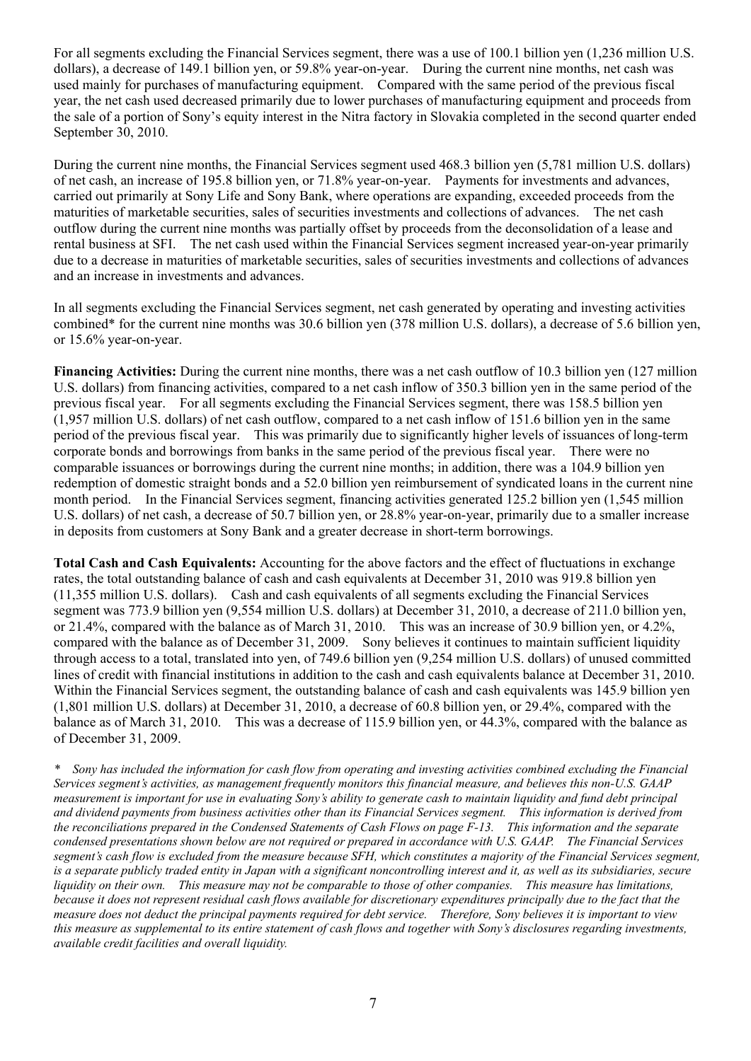For all segments excluding the Financial Services segment, there was a use of 100.1 billion yen (1,236 million U.S. dollars), a decrease of 149.1 billion yen, or 59.8% year-on-year. During the current nine months, net cash was used mainly for purchases of manufacturing equipment. Compared with the same period of the previous fiscal year, the net cash used decreased primarily due to lower purchases of manufacturing equipment and proceeds from the sale of a portion of Sony's equity interest in the Nitra factory in Slovakia completed in the second quarter ended September 30, 2010.

During the current nine months, the Financial Services segment used 468.3 billion yen (5,781 million U.S. dollars) of net cash, an increase of 195.8 billion yen, or 71.8% year-on-year. Payments for investments and advances, carried out primarily at Sony Life and Sony Bank, where operations are expanding, exceeded proceeds from the maturities of marketable securities, sales of securities investments and collections of advances. The net cash outflow during the current nine months was partially offset by proceeds from the deconsolidation of a lease and rental business at SFI. The net cash used within the Financial Services segment increased year-on-year primarily due to a decrease in maturities of marketable securities, sales of securities investments and collections of advances and an increase in investments and advances.

In all segments excluding the Financial Services segment, net cash generated by operating and investing activities combined\* for the current nine months was 30.6 billion yen (378 million U.S. dollars), a decrease of 5.6 billion yen, or 15.6% year-on-year.

**Financing Activities:** During the current nine months, there was a net cash outflow of 10.3 billion yen (127 million U.S. dollars) from financing activities, compared to a net cash inflow of 350.3 billion yen in the same period of the previous fiscal year. For all segments excluding the Financial Services segment, there was 158.5 billion yen (1,957 million U.S. dollars) of net cash outflow, compared to a net cash inflow of 151.6 billion yen in the same period of the previous fiscal year. This was primarily due to significantly higher levels of issuances of long-term corporate bonds and borrowings from banks in the same period of the previous fiscal year. There were no comparable issuances or borrowings during the current nine months; in addition, there was a 104.9 billion yen redemption of domestic straight bonds and a 52.0 billion yen reimbursement of syndicated loans in the current nine month period. In the Financial Services segment, financing activities generated 125.2 billion yen (1,545 million U.S. dollars) of net cash, a decrease of 50.7 billion yen, or 28.8% year-on-year, primarily due to a smaller increase in deposits from customers at Sony Bank and a greater decrease in short-term borrowings.

**Total Cash and Cash Equivalents:** Accounting for the above factors and the effect of fluctuations in exchange rates, the total outstanding balance of cash and cash equivalents at December 31, 2010 was 919.8 billion yen (11,355 million U.S. dollars). Cash and cash equivalents of all segments excluding the Financial Services segment was 773.9 billion yen (9,554 million U.S. dollars) at December 31, 2010, a decrease of 211.0 billion yen, or 21.4%, compared with the balance as of March 31, 2010. This was an increase of 30.9 billion yen, or 4.2%, compared with the balance as of December 31, 2009. Sony believes it continues to maintain sufficient liquidity through access to a total, translated into yen, of 749.6 billion yen (9,254 million U.S. dollars) of unused committed lines of credit with financial institutions in addition to the cash and cash equivalents balance at December 31, 2010. Within the Financial Services segment, the outstanding balance of cash and cash equivalents was 145.9 billion yen (1,801 million U.S. dollars) at December 31, 2010, a decrease of 60.8 billion yen, or 29.4%, compared with the balance as of March 31, 2010. This was a decrease of 115.9 billion yen, or 44.3%, compared with the balance as of December 31, 2009.

*\* Sony has included the information for cash flow from operating and investing activities combined excluding the Financial Services segment's activities, as management frequently monitors this financial measure, and believes this non-U.S. GAAP measurement is important for use in evaluating Sony's ability to generate cash to maintain liquidity and fund debt principal and dividend payments from business activities other than its Financial Services segment. This information is derived from the reconciliations prepared in the Condensed Statements of Cash Flows on page F-13. This information and the separate condensed presentations shown below are not required or prepared in accordance with U.S. GAAP. The Financial Services segment's cash flow is excluded from the measure because SFH, which constitutes a majority of the Financial Services segment, is a separate publicly traded entity in Japan with a significant noncontrolling interest and it, as well as its subsidiaries, secure liquidity on their own. This measure may not be comparable to those of other companies. This measure has limitations, because it does not represent residual cash flows available for discretionary expenditures principally due to the fact that the measure does not deduct the principal payments required for debt service. Therefore, Sony believes it is important to view this measure as supplemental to its entire statement of cash flows and together with Sony's disclosures regarding investments, available credit facilities and overall liquidity.*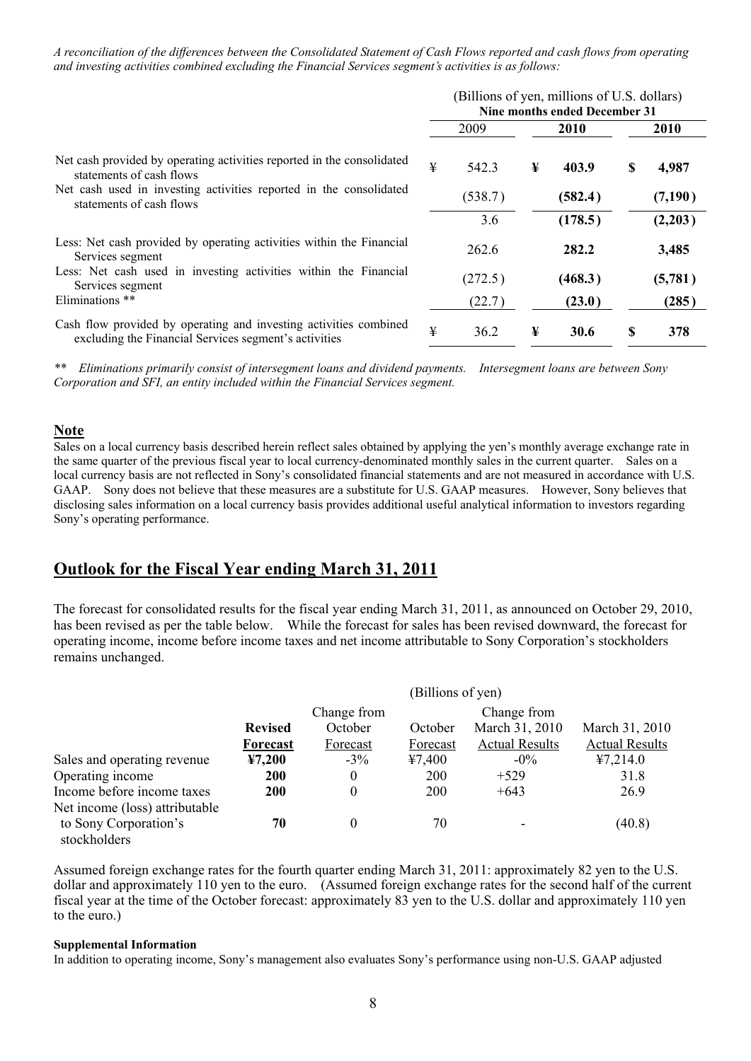*A reconciliation of the differences between the Consolidated Statement of Cash Flows reported and cash flows from operating and investing activities combined excluding the Financial Services segment's activities is as follows:* 

|                                                                                                                            | (Billions of yen, millions of U.S. dollars)<br>Nine months ended December 31 |         |             |         |   |         |  |
|----------------------------------------------------------------------------------------------------------------------------|------------------------------------------------------------------------------|---------|-------------|---------|---|---------|--|
|                                                                                                                            | 2009                                                                         |         | <b>2010</b> |         |   | 2010    |  |
| Net cash provided by operating activities reported in the consolidated<br>statements of cash flows                         | ¥                                                                            | 542.3   | ¥           | 403.9   | S | 4,987   |  |
| Net cash used in investing activities reported in the consolidated<br>statements of cash flows                             |                                                                              | (538.7) |             | (582.4) |   | (7,190) |  |
|                                                                                                                            |                                                                              | 3.6     |             | (178.5) |   | (2,203) |  |
| Less: Net cash provided by operating activities within the Financial<br>Services segment                                   |                                                                              | 262.6   |             | 282.2   |   | 3,485   |  |
| Less: Net cash used in investing activities within the Financial<br>Services segment                                       |                                                                              | (272.5) |             | (468.3) |   | (5,781) |  |
| Eliminations **                                                                                                            |                                                                              | (22.7)  |             | (23.0)  |   | (285)   |  |
| Cash flow provided by operating and investing activities combined<br>excluding the Financial Services segment's activities | ¥                                                                            | 36.2    | ¥           | 30.6    | S | 378     |  |

*\*\* Eliminations primarily consist of intersegment loans and dividend payments. Intersegment loans are between Sony Corporation and SFI, an entity included within the Financial Services segment.* 

## **Note**

Sales on a local currency basis described herein reflect sales obtained by applying the yen's monthly average exchange rate in the same quarter of the previous fiscal year to local currency-denominated monthly sales in the current quarter. Sales on a local currency basis are not reflected in Sony's consolidated financial statements and are not measured in accordance with U.S. GAAP. Sony does not believe that these measures are a substitute for U.S. GAAP measures. However, Sony believes that disclosing sales information on a local currency basis provides additional useful analytical information to investors regarding Sony's operating performance.

## **Outlook for the Fiscal Year ending March 31, 2011**

The forecast for consolidated results for the fiscal year ending March 31, 2011, as announced on October 29, 2010, has been revised as per the table below. While the forecast for sales has been revised downward, the forecast for operating income, income before income taxes and net income attributable to Sony Corporation's stockholders remains unchanged.

|                                | (Billions of yen) |          |          |                       |                       |  |
|--------------------------------|-------------------|----------|----------|-----------------------|-----------------------|--|
|                                |                   |          |          |                       |                       |  |
|                                | <b>Revised</b>    | October  | October  | March 31, 2010        | March 31, 2010        |  |
|                                | Forecast          | Forecast | Forecast | <b>Actual Results</b> | <b>Actual Results</b> |  |
| Sales and operating revenue    | 47,200            | $-3\%$   | 47,400   | $-0\%$                | 47,214.0              |  |
| Operating income               | <b>200</b>        | $\theta$ | 200      | $+529$                | 31.8                  |  |
| Income before income taxes     | <b>200</b>        | $\theta$ | 200      | $+643$                | 26.9                  |  |
| Net income (loss) attributable |                   |          |          |                       |                       |  |
| to Sony Corporation's          | 70                | 0        | 70       | -                     | (40.8)                |  |
| stockholders                   |                   |          |          |                       |                       |  |

Assumed foreign exchange rates for the fourth quarter ending March 31, 2011: approximately 82 yen to the U.S. dollar and approximately 110 yen to the euro. (Assumed foreign exchange rates for the second half of the current fiscal year at the time of the October forecast: approximately 83 yen to the U.S. dollar and approximately 110 yen to the euro.)

#### **Supplemental Information**

In addition to operating income, Sony's management also evaluates Sony's performance using non-U.S. GAAP adjusted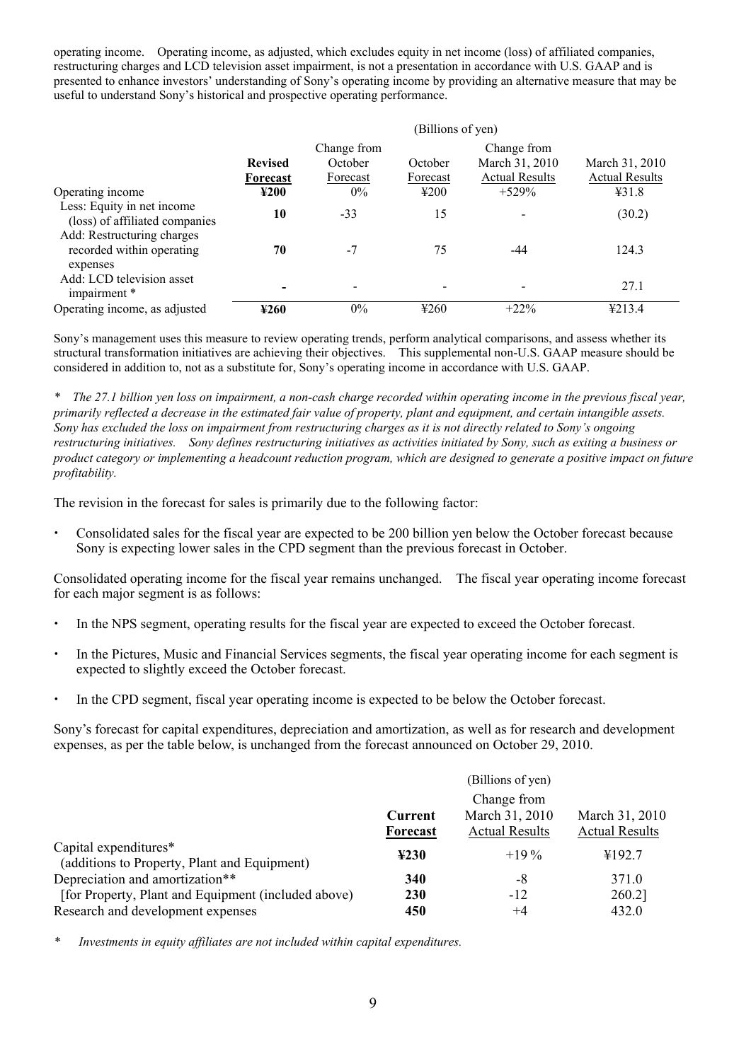operating income. Operating income, as adjusted, which excludes equity in net income (loss) of affiliated companies, restructuring charges and LCD television asset impairment, is not a presentation in accordance with U.S. GAAP and is presented to enhance investors' understanding of Sony's operating income by providing an alternative measure that may be useful to understand Sony's historical and prospective operating performance.

|                                                                     | (Billions of yen)          |                                    |                     |                                                        |                                         |  |  |
|---------------------------------------------------------------------|----------------------------|------------------------------------|---------------------|--------------------------------------------------------|-----------------------------------------|--|--|
|                                                                     | <b>Revised</b><br>Forecast | Change from<br>October<br>Forecast | October<br>Forecast | Change from<br>March 31, 2010<br><b>Actual Results</b> | March 31, 2010<br><b>Actual Results</b> |  |  |
| Operating income                                                    | ¥200                       | $0\%$                              | 4200                | $+529%$                                                | 431.8                                   |  |  |
| Less: Equity in net income<br>(loss) of affiliated companies        | 10                         | $-33$                              | 15                  | $\overline{\phantom{a}}$                               | (30.2)                                  |  |  |
| Add: Restructuring charges<br>recorded within operating<br>expenses | 70                         | -7                                 | 75                  | -44                                                    | 124.3                                   |  |  |
| Add: LCD television asset<br>impairment *                           |                            |                                    |                     | $\overline{a}$                                         | 27.1                                    |  |  |
| Operating income, as adjusted                                       | ¥260                       | $0\%$                              | 4260                | $+22\%$                                                | 4213.4                                  |  |  |

Sony's management uses this measure to review operating trends, perform analytical comparisons, and assess whether its structural transformation initiatives are achieving their objectives. This supplemental non-U.S. GAAP measure should be considered in addition to, not as a substitute for, Sony's operating income in accordance with U.S. GAAP.

*\* The 27.1 billion yen loss on impairment, a non-cash charge recorded within operating income in the previous fiscal year, primarily reflected a decrease in the estimated fair value of property, plant and equipment, and certain intangible assets. Sony has excluded the loss on impairment from restructuring charges as it is not directly related to Sony's ongoing restructuring initiatives. Sony defines restructuring initiatives as activities initiated by Sony, such as exiting a business or product category or implementing a headcount reduction program, which are designed to generate a positive impact on future profitability.*

The revision in the forecast for sales is primarily due to the following factor:

x Consolidated sales for the fiscal year are expected to be 200 billion yen below the October forecast because Sony is expecting lower sales in the CPD segment than the previous forecast in October.

Consolidated operating income for the fiscal year remains unchanged. The fiscal year operating income forecast for each major segment is as follows:

- $\cdot$  In the NPS segment, operating results for the fiscal year are expected to exceed the October forecast.
- $\cdot$  In the Pictures, Music and Financial Services segments, the fiscal year operating income for each segment is expected to slightly exceed the October forecast.
- $\cdot$  In the CPD segment, fiscal year operating income is expected to be below the October forecast.

Sony's forecast for capital expenditures, depreciation and amortization, as well as for research and development expenses, as per the table below, is unchanged from the forecast announced on October 29, 2010.

|                                                     | (Billions of yen) |                       |                       |  |  |
|-----------------------------------------------------|-------------------|-----------------------|-----------------------|--|--|
|                                                     | Change from       |                       |                       |  |  |
|                                                     | <b>Current</b>    | March 31, 2010        | March 31, 2010        |  |  |
|                                                     | Forecast          | <b>Actual Results</b> | <b>Actual Results</b> |  |  |
| Capital expenditures*                               | 4230              | $+19\%$               | ¥192.7                |  |  |
| (additions to Property, Plant and Equipment)        |                   |                       |                       |  |  |
| Depreciation and amortization**                     | 340               | -8                    | 371.0                 |  |  |
| [for Property, Plant and Equipment (included above) | 230               | $-12$                 | 260.2]                |  |  |
| Research and development expenses                   | 450               | $+4$                  | 432.0                 |  |  |

*Investments in equity affiliates are not included within capital expenditures.*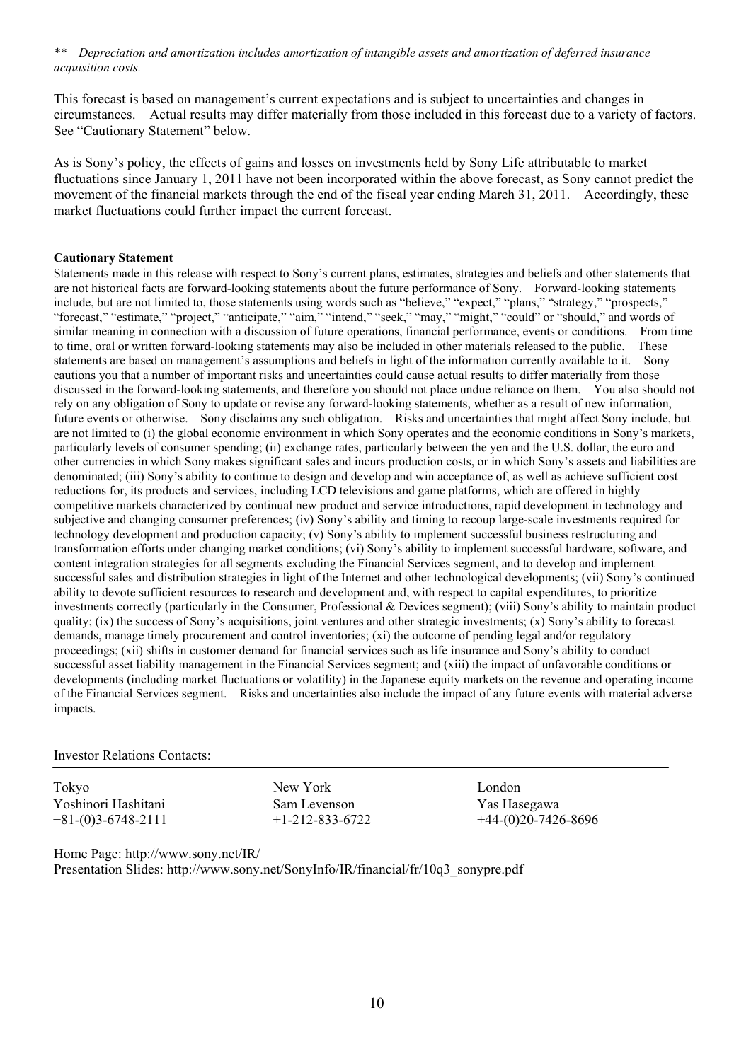*\*\* Depreciation and amortization includes amortization of intangible assets and amortization of deferred insurance acquisition costs.* 

This forecast is based on management's current expectations and is subject to uncertainties and changes in circumstances. Actual results may differ materially from those included in this forecast due to a variety of factors. See "Cautionary Statement" below.

As is Sony's policy, the effects of gains and losses on investments held by Sony Life attributable to market fluctuations since January 1, 2011 have not been incorporated within the above forecast, as Sony cannot predict the movement of the financial markets through the end of the fiscal year ending March 31, 2011. Accordingly, these market fluctuations could further impact the current forecast.

## **Cautionary Statement**

 Statements made in this release with respect to Sony's current plans, estimates, strategies and beliefs and other statements that are not historical facts are forward-looking statements about the future performance of Sony. Forward-looking statements include, but are not limited to, those statements using words such as "believe," "expect," "plans," "strategy," "prospects," "forecast," "estimate," "project," "anticipate," "aim," "intend," "seek," "may," "might," "could" or "should," and words of similar meaning in connection with a discussion of future operations, financial performance, events or conditions. From time to time, oral or written forward-looking statements may also be included in other materials released to the public. These statements are based on management's assumptions and beliefs in light of the information currently available to it. Sony cautions you that a number of important risks and uncertainties could cause actual results to differ materially from those discussed in the forward-looking statements, and therefore you should not place undue reliance on them. You also should not rely on any obligation of Sony to update or revise any forward-looking statements, whether as a result of new information, future events or otherwise. Sony disclaims any such obligation. Risks and uncertainties that might affect Sony include, but are not limited to (i) the global economic environment in which Sony operates and the economic conditions in Sony's markets, particularly levels of consumer spending; (ii) exchange rates, particularly between the yen and the U.S. dollar, the euro and other currencies in which Sony makes significant sales and incurs production costs, or in which Sony's assets and liabilities are denominated; (iii) Sony's ability to continue to design and develop and win acceptance of, as well as achieve sufficient cost reductions for, its products and services, including LCD televisions and game platforms, which are offered in highly competitive markets characterized by continual new product and service introductions, rapid development in technology and subjective and changing consumer preferences; (iv) Sony's ability and timing to recoup large-scale investments required for technology development and production capacity; (v) Sony's ability to implement successful business restructuring and transformation efforts under changing market conditions; (vi) Sony's ability to implement successful hardware, software, and content integration strategies for all segments excluding the Financial Services segment, and to develop and implement successful sales and distribution strategies in light of the Internet and other technological developments; (vii) Sony's continued ability to devote sufficient resources to research and development and, with respect to capital expenditures, to prioritize investments correctly (particularly in the Consumer, Professional & Devices segment); (viii) Sony's ability to maintain product quality;  $(ix)$  the success of Sony's acquisitions, joint ventures and other strategic investments;  $(x)$  Sony's ability to forecast demands, manage timely procurement and control inventories; (xi) the outcome of pending legal and/or regulatory proceedings; (xii) shifts in customer demand for financial services such as life insurance and Sony's ability to conduct successful asset liability management in the Financial Services segment; and (xiii) the impact of unfavorable conditions or developments (including market fluctuations or volatility) in the Japanese equity markets on the revenue and operating income of the Financial Services segment. Risks and uncertainties also include the impact of any future events with material adverse impacts.

## Investor Relations Contacts:

Tokyo New York London Yoshinori Hashitani Sam Levenson Yas Hasegawa

 $+81-(0)3-6748-2111$   $+1-212-833-6722$   $+44-(0)20-7426-8696$ 

Home Page: http://www.sony.net/IR/ Presentation Slides: http://www.sony.net/SonyInfo/IR/financial/fr/10q3\_sonypre.pdf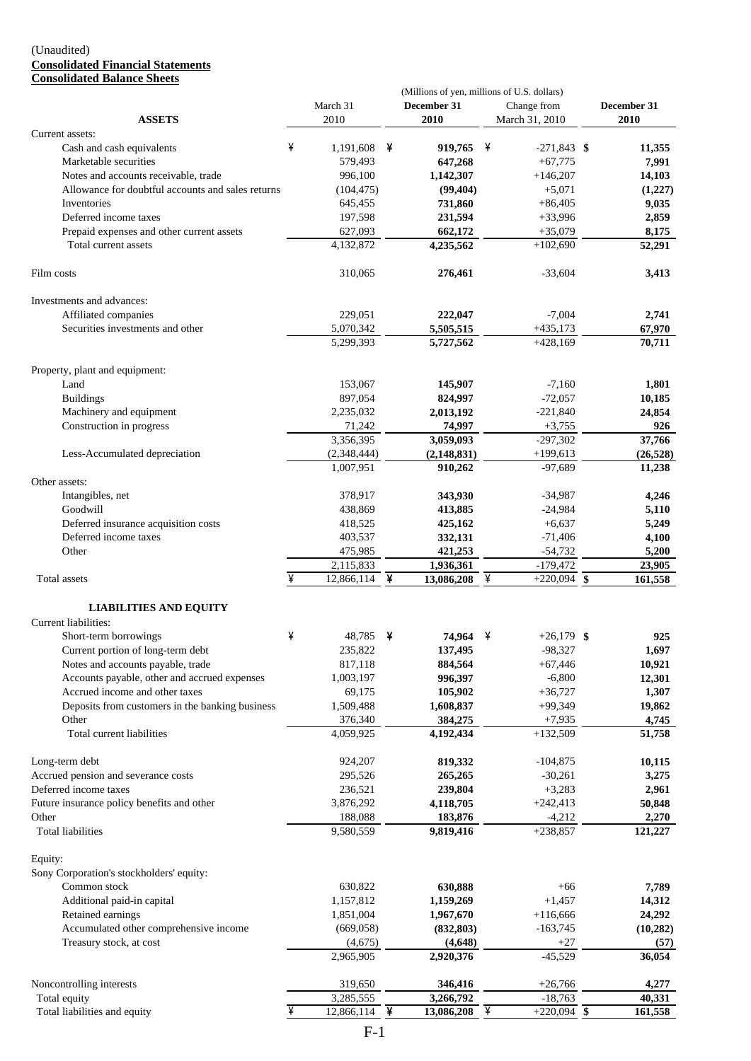## (Unaudited) **Consolidated Financial Statements Consolidated Balance Sheets**

| <b>ASSETS</b>                                                                     |   | March 31<br>2010    |                         | (Millions of yen, millions of U.S. dollars)<br>December 31<br>2010 |                         | Change from<br>March 31, 2010 | December 31<br>2010 |
|-----------------------------------------------------------------------------------|---|---------------------|-------------------------|--------------------------------------------------------------------|-------------------------|-------------------------------|---------------------|
| Current assets:                                                                   |   |                     |                         |                                                                    |                         |                               |                     |
| Cash and cash equivalents                                                         | ¥ | 1,191,608           | ¥                       | 919,765                                                            | ¥                       | $-271,843$ \$                 | 11,355              |
| Marketable securities                                                             |   | 579,493             |                         | 647,268                                                            |                         | $+67,775$                     | 7,991               |
| Notes and accounts receivable, trade                                              |   | 996,100             |                         | 1,142,307                                                          |                         | $+146,207$                    | 14,103              |
| Allowance for doubtful accounts and sales returns                                 |   | (104, 475)          |                         | (99, 404)                                                          |                         | $+5,071$                      | (1,227)             |
| Inventories                                                                       |   | 645,455             |                         | 731,860                                                            |                         | $+86,405$                     | 9,035               |
| Deferred income taxes                                                             |   | 197,598             |                         | 231,594                                                            |                         | $+33,996$                     | 2,859               |
| Prepaid expenses and other current assets                                         |   | 627,093             |                         | 662,172                                                            |                         | $+35,079$                     | 8,175               |
| Total current assets                                                              |   | 4,132,872           |                         | 4,235,562                                                          |                         | $+102,690$                    | 52,291              |
| Film costs                                                                        |   | 310,065             |                         | 276,461                                                            |                         | $-33,604$                     | 3,413               |
| Investments and advances:<br>Affiliated companies                                 |   | 229,051             |                         | 222,047                                                            |                         | $-7,004$                      | 2,741               |
| Securities investments and other                                                  |   | 5,070,342           |                         | 5,505,515                                                          |                         | $+435,173$                    | 67,970              |
|                                                                                   |   | 5,299,393           |                         | 5,727,562                                                          |                         | $+428,169$                    | 70,711              |
| Property, plant and equipment:                                                    |   |                     |                         |                                                                    |                         |                               |                     |
| Land                                                                              |   | 153,067             |                         | 145,907                                                            |                         | $-7,160$                      | 1,801               |
| <b>Buildings</b>                                                                  |   | 897.054             |                         | 824,997                                                            |                         | $-72,057$                     | 10,185              |
| Machinery and equipment                                                           |   | 2,235,032           |                         | 2,013,192                                                          |                         | $-221,840$                    | 24,854              |
| Construction in progress                                                          |   | 71,242              |                         | 74,997                                                             |                         | $+3,755$                      | 926                 |
|                                                                                   |   | 3,356,395           |                         | 3,059,093                                                          |                         | $-297,302$                    | 37,766              |
| Less-Accumulated depreciation                                                     |   | (2,348,444)         |                         | (2, 148, 831)                                                      |                         | $+199,613$                    | (26, 528)           |
|                                                                                   |   | 1,007,951           |                         | 910,262                                                            |                         | $-97,689$                     | 11,238              |
| Other assets:<br>Intangibles, net                                                 |   | 378,917             |                         | 343,930                                                            |                         | $-34,987$                     | 4,246               |
| Goodwill                                                                          |   | 438,869             |                         | 413,885                                                            |                         | $-24,984$                     | 5,110               |
| Deferred insurance acquisition costs                                              |   | 418,525             |                         | 425,162                                                            |                         | $+6,637$                      | 5,249               |
| Deferred income taxes                                                             |   | 403,537             |                         | 332,131                                                            |                         | $-71,406$                     | 4,100               |
| Other                                                                             |   | 475,985             |                         | 421,253                                                            |                         | $-54,732$                     | 5,200               |
|                                                                                   |   | 2,115,833           |                         | 1,936,361                                                          |                         | $-179,472$                    | 23,905              |
| Total assets                                                                      | ¥ | 12,866,114          | $\overline{\mathbf{X}}$ | 13,086,208                                                         | ¥                       | $+220.094$ \$                 | 161,558             |
| <b>LIABILITIES AND EQUITY</b>                                                     |   |                     |                         |                                                                    |                         |                               |                     |
| Current liabilities:                                                              |   |                     |                         |                                                                    |                         |                               |                     |
| Short-term borrowings                                                             | ¥ | 48,785              | ¥                       | 74,964                                                             | ¥                       | $+26,179$ \$                  | 925                 |
| Current portion of long-term debt                                                 |   | 235,822             |                         | 137,495                                                            |                         | -98,327                       | 1,697               |
| Notes and accounts payable, trade<br>Accounts payable, other and accrued expenses |   | 817,118             |                         | 884,564                                                            |                         | $+67,446$                     | 10,921              |
| Accrued income and other taxes                                                    |   | 1,003,197<br>69,175 |                         | 996,397                                                            |                         | $-6,800$<br>$+36,727$         | 12,301              |
| Deposits from customers in the banking business                                   |   | 1,509,488           |                         | 105,902<br>1,608,837                                               |                         | $+99,349$                     | 1,307<br>19,862     |
| Other                                                                             |   | 376,340             |                         | 384,275                                                            |                         | $+7,935$                      | 4,745               |
| Total current liabilities                                                         |   | 4,059,925           |                         | 4,192,434                                                          |                         | $+132,509$                    | 51,758              |
| Long-term debt                                                                    |   | 924,207             |                         | 819,332                                                            |                         | $-104,875$                    | 10,115              |
| Accrued pension and severance costs                                               |   | 295,526             |                         | 265,265                                                            |                         | $-30,261$                     | 3,275               |
| Deferred income taxes                                                             |   | 236,521             |                         | 239,804                                                            |                         | $+3,283$                      | 2,961               |
| Future insurance policy benefits and other                                        |   | 3,876,292           |                         | 4,118,705                                                          |                         | $+242,413$                    | 50,848              |
| Other                                                                             |   | 188,088             |                         | 183,876                                                            |                         | $-4,212$                      | 2,270               |
| <b>Total liabilities</b>                                                          |   | 9,580,559           |                         | 9,819,416                                                          |                         | $+238,857$                    | 121,227             |
| Equity:                                                                           |   |                     |                         |                                                                    |                         |                               |                     |
| Sony Corporation's stockholders' equity:<br>Common stock                          |   | 630,822             |                         | 630,888                                                            |                         | $+66$                         | 7,789               |
| Additional paid-in capital                                                        |   | 1,157,812           |                         | 1,159,269                                                          |                         | $+1,457$                      | 14,312              |
| Retained earnings                                                                 |   | 1,851,004           |                         | 1,967,670                                                          |                         | $+116,666$                    | 24,292              |
| Accumulated other comprehensive income                                            |   | (669,058)           |                         | (832, 803)                                                         |                         | $-163,745$                    | (10, 282)           |
| Treasury stock, at cost                                                           |   | (4,675)             |                         | (4, 648)                                                           |                         | $+27$                         | (57)                |
|                                                                                   |   | 2,965,905           |                         | 2,920,376                                                          |                         | $-45,529$                     | 36,054              |
| Noncontrolling interests                                                          |   | 319,650             |                         | 346,416                                                            |                         | $+26,766$                     | 4,277               |
| Total equity                                                                      |   | 3,285,555           |                         | 3,266,792                                                          |                         | $-18,763$                     | 40,331              |
| Total liabilities and equity                                                      |   | 12,866,114          | $\overline{\mathbf{v}}$ | 13,086,208                                                         | $\overline{\mathbf{r}}$ | $+220,094$ \$                 | 161,558             |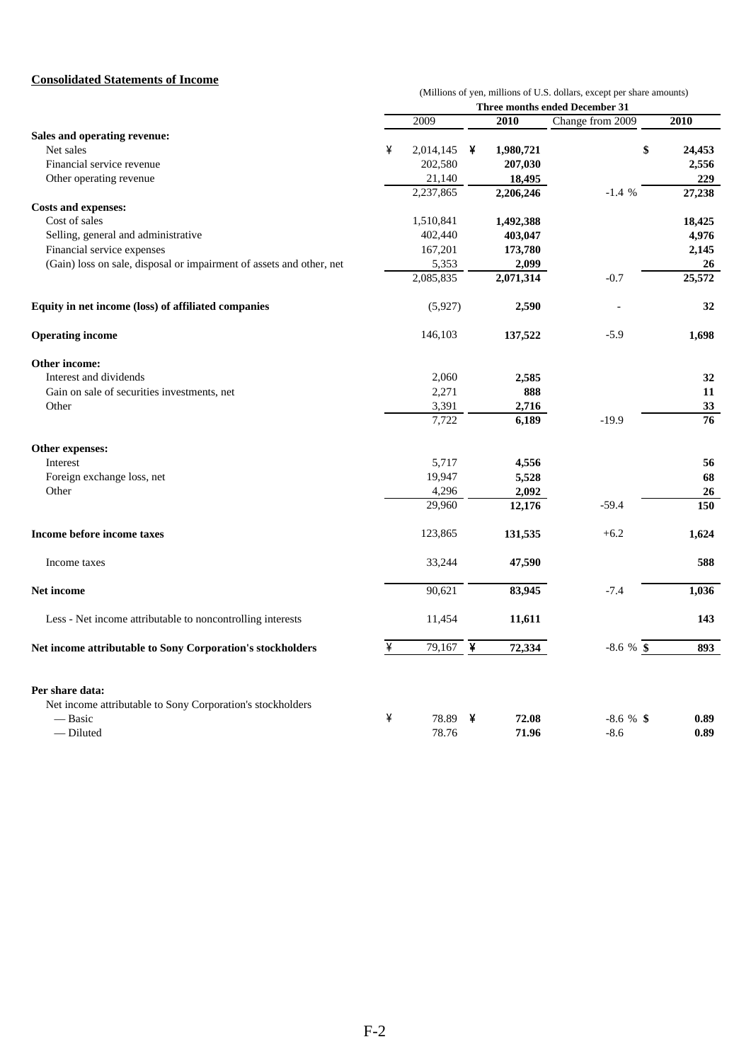## **Consolidated Statements of Income**

|                                                                                          |   |            |   |           | (Millions of yen, millions of U.S. dollars, except per share amounts) |        |
|------------------------------------------------------------------------------------------|---|------------|---|-----------|-----------------------------------------------------------------------|--------|
|                                                                                          |   |            |   |           | Three months ended December 31                                        |        |
|                                                                                          |   | 2009       |   | 2010      | Change from 2009                                                      | 2010   |
| Sales and operating revenue:                                                             |   |            |   |           |                                                                       |        |
| Net sales                                                                                | ¥ | 2,014,145  | ¥ | 1,980,721 | \$                                                                    | 24,453 |
| Financial service revenue                                                                |   | 202,580    |   | 207,030   |                                                                       | 2,556  |
| Other operating revenue                                                                  |   | 21,140     |   | 18,495    |                                                                       | 229    |
|                                                                                          |   | 2,237,865  |   | 2,206,246 | $-1.4%$                                                               | 27,238 |
| <b>Costs and expenses:</b>                                                               |   |            |   |           |                                                                       |        |
| Cost of sales                                                                            |   | 1,510,841  |   | 1,492,388 |                                                                       | 18,425 |
| Selling, general and administrative                                                      |   | 402,440    |   | 403,047   |                                                                       | 4,976  |
| Financial service expenses                                                               |   | 167,201    |   | 173,780   |                                                                       | 2,145  |
| (Gain) loss on sale, disposal or impairment of assets and other, net                     |   | 5,353      |   | 2,099     |                                                                       | 26     |
|                                                                                          |   | 2,085,835  |   | 2,071,314 | $-0.7$                                                                | 25,572 |
| Equity in net income (loss) of affiliated companies                                      |   | (5,927)    |   | 2,590     |                                                                       | 32     |
| <b>Operating income</b>                                                                  |   | 146,103    |   | 137,522   | $-5.9$                                                                | 1,698  |
| Other income:                                                                            |   |            |   |           |                                                                       |        |
| Interest and dividends                                                                   |   | 2,060      |   | 2,585     |                                                                       | 32     |
| Gain on sale of securities investments, net                                              |   | 2,271      |   | 888       |                                                                       | 11     |
| Other                                                                                    |   | 3,391      |   | 2,716     |                                                                       | 33     |
|                                                                                          |   | 7,722      |   | 6,189     | $-19.9$                                                               | 76     |
| Other expenses:                                                                          |   |            |   |           |                                                                       |        |
| Interest                                                                                 |   | 5,717      |   | 4,556     |                                                                       | 56     |
| Foreign exchange loss, net                                                               |   | 19,947     |   | 5,528     |                                                                       | 68     |
| Other                                                                                    |   | 4,296      |   | 2,092     |                                                                       | 26     |
|                                                                                          |   | 29,960     |   | 12,176    | $-59.4$                                                               | 150    |
| Income before income taxes                                                               |   | 123,865    |   | 131,535   | $+6.2$                                                                | 1,624  |
| Income taxes                                                                             |   | 33,244     |   | 47,590    |                                                                       | 588    |
| Net income                                                                               |   | 90,621     |   | 83,945    | $-7.4$                                                                | 1,036  |
| Less - Net income attributable to noncontrolling interests                               |   | 11,454     |   | 11,611    |                                                                       | 143    |
| Net income attributable to Sony Corporation's stockholders                               |   | $79,167$ ¥ |   | 72,334    | $-8.6 \%$                                                             | 893    |
| Per share data:<br>Net income attributable to Sony Corporation's stockholders<br>— Basic | ¥ | 78.89      | ¥ | 72.08     | $-8.6 \%$                                                             | 0.89   |
|                                                                                          |   |            |   |           |                                                                       |        |
| — Diluted                                                                                |   | 78.76      |   | 71.96     | $-8.6$                                                                | 0.89   |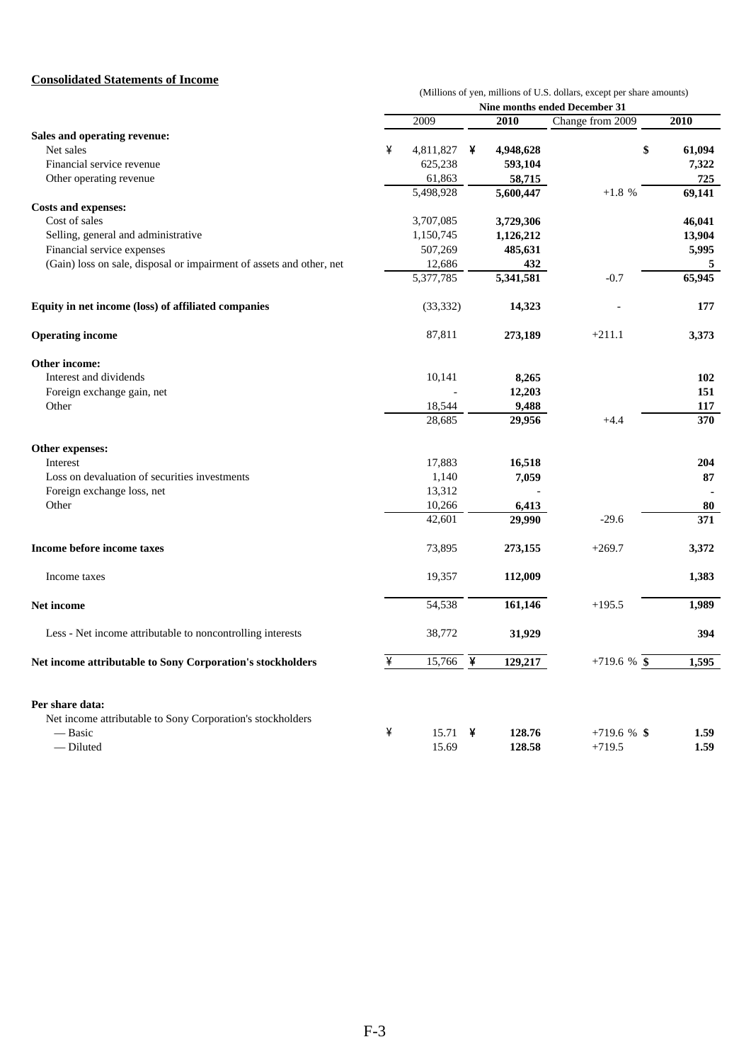## **Consolidated Statements of Income**

| Nine months ended December 31<br>2009<br>Change from 2009<br>2010<br>2010<br>¥<br>¥<br>4,811,827<br>4,948,628<br>\$<br>61,094<br>625,238<br>593,104<br>7,322<br>61,863<br>58,715<br>725<br>5,600,447<br>$+1.8$ %<br>5,498,928<br>69,141<br>3,707,085<br>3,729,306<br>46,041<br>Selling, general and administrative<br>1,150,745<br>1,126,212<br>13,904<br>507,269<br>485,631<br>5,995<br>(Gain) loss on sale, disposal or impairment of assets and other, net<br>12,686<br>432<br>5<br>5,377,785<br>65,945<br>5,341,581<br>$-0.7$<br>(33, 332)<br>14,323<br>177<br>87,811<br>$+211.1$<br>3,373<br>273,189<br>10,141<br>102<br>8,265<br>12,203<br>151<br>18,544<br>9,488<br>117<br>28,685<br>29,956<br>370<br>$+4.4$<br>17,883<br>16,518<br>204<br>1,140<br>7,059<br>87<br>13,312<br>10,266<br>6,413<br>80<br>29,990<br>371<br>42,601<br>$-29.6$<br>73,895<br>$+269.7$<br>273,155<br>3,372<br>19,357<br>112,009<br>1,383<br>54,538<br>161,146<br>$+195.5$<br>1,989<br>38,772<br>31,929<br>394<br>15,766 $\overline{4}$<br>$+719.6 %$<br>129,217<br>1,595<br>¥ |                                                                                                       |   |       |   |        | (Millions of yen, millions of U.S. dollars, except per share amounts) |      |
|--------------------------------------------------------------------------------------------------------------------------------------------------------------------------------------------------------------------------------------------------------------------------------------------------------------------------------------------------------------------------------------------------------------------------------------------------------------------------------------------------------------------------------------------------------------------------------------------------------------------------------------------------------------------------------------------------------------------------------------------------------------------------------------------------------------------------------------------------------------------------------------------------------------------------------------------------------------------------------------------------------------------------------------------------------------|-------------------------------------------------------------------------------------------------------|---|-------|---|--------|-----------------------------------------------------------------------|------|
|                                                                                                                                                                                                                                                                                                                                                                                                                                                                                                                                                                                                                                                                                                                                                                                                                                                                                                                                                                                                                                                              |                                                                                                       |   |       |   |        |                                                                       |      |
|                                                                                                                                                                                                                                                                                                                                                                                                                                                                                                                                                                                                                                                                                                                                                                                                                                                                                                                                                                                                                                                              |                                                                                                       |   |       |   |        |                                                                       |      |
|                                                                                                                                                                                                                                                                                                                                                                                                                                                                                                                                                                                                                                                                                                                                                                                                                                                                                                                                                                                                                                                              | Sales and operating revenue:                                                                          |   |       |   |        |                                                                       |      |
|                                                                                                                                                                                                                                                                                                                                                                                                                                                                                                                                                                                                                                                                                                                                                                                                                                                                                                                                                                                                                                                              | Net sales                                                                                             |   |       |   |        |                                                                       |      |
|                                                                                                                                                                                                                                                                                                                                                                                                                                                                                                                                                                                                                                                                                                                                                                                                                                                                                                                                                                                                                                                              | Financial service revenue                                                                             |   |       |   |        |                                                                       |      |
|                                                                                                                                                                                                                                                                                                                                                                                                                                                                                                                                                                                                                                                                                                                                                                                                                                                                                                                                                                                                                                                              | Other operating revenue                                                                               |   |       |   |        |                                                                       |      |
|                                                                                                                                                                                                                                                                                                                                                                                                                                                                                                                                                                                                                                                                                                                                                                                                                                                                                                                                                                                                                                                              |                                                                                                       |   |       |   |        |                                                                       |      |
|                                                                                                                                                                                                                                                                                                                                                                                                                                                                                                                                                                                                                                                                                                                                                                                                                                                                                                                                                                                                                                                              | <b>Costs and expenses:</b>                                                                            |   |       |   |        |                                                                       |      |
|                                                                                                                                                                                                                                                                                                                                                                                                                                                                                                                                                                                                                                                                                                                                                                                                                                                                                                                                                                                                                                                              | Cost of sales                                                                                         |   |       |   |        |                                                                       |      |
|                                                                                                                                                                                                                                                                                                                                                                                                                                                                                                                                                                                                                                                                                                                                                                                                                                                                                                                                                                                                                                                              |                                                                                                       |   |       |   |        |                                                                       |      |
|                                                                                                                                                                                                                                                                                                                                                                                                                                                                                                                                                                                                                                                                                                                                                                                                                                                                                                                                                                                                                                                              | Financial service expenses                                                                            |   |       |   |        |                                                                       |      |
|                                                                                                                                                                                                                                                                                                                                                                                                                                                                                                                                                                                                                                                                                                                                                                                                                                                                                                                                                                                                                                                              |                                                                                                       |   |       |   |        |                                                                       |      |
|                                                                                                                                                                                                                                                                                                                                                                                                                                                                                                                                                                                                                                                                                                                                                                                                                                                                                                                                                                                                                                                              |                                                                                                       |   |       |   |        |                                                                       |      |
|                                                                                                                                                                                                                                                                                                                                                                                                                                                                                                                                                                                                                                                                                                                                                                                                                                                                                                                                                                                                                                                              | Equity in net income (loss) of affiliated companies                                                   |   |       |   |        |                                                                       |      |
|                                                                                                                                                                                                                                                                                                                                                                                                                                                                                                                                                                                                                                                                                                                                                                                                                                                                                                                                                                                                                                                              | <b>Operating income</b>                                                                               |   |       |   |        |                                                                       |      |
|                                                                                                                                                                                                                                                                                                                                                                                                                                                                                                                                                                                                                                                                                                                                                                                                                                                                                                                                                                                                                                                              | Other income:                                                                                         |   |       |   |        |                                                                       |      |
|                                                                                                                                                                                                                                                                                                                                                                                                                                                                                                                                                                                                                                                                                                                                                                                                                                                                                                                                                                                                                                                              | Interest and dividends                                                                                |   |       |   |        |                                                                       |      |
|                                                                                                                                                                                                                                                                                                                                                                                                                                                                                                                                                                                                                                                                                                                                                                                                                                                                                                                                                                                                                                                              | Foreign exchange gain, net                                                                            |   |       |   |        |                                                                       |      |
|                                                                                                                                                                                                                                                                                                                                                                                                                                                                                                                                                                                                                                                                                                                                                                                                                                                                                                                                                                                                                                                              | Other                                                                                                 |   |       |   |        |                                                                       |      |
|                                                                                                                                                                                                                                                                                                                                                                                                                                                                                                                                                                                                                                                                                                                                                                                                                                                                                                                                                                                                                                                              |                                                                                                       |   |       |   |        |                                                                       |      |
|                                                                                                                                                                                                                                                                                                                                                                                                                                                                                                                                                                                                                                                                                                                                                                                                                                                                                                                                                                                                                                                              | Other expenses:                                                                                       |   |       |   |        |                                                                       |      |
|                                                                                                                                                                                                                                                                                                                                                                                                                                                                                                                                                                                                                                                                                                                                                                                                                                                                                                                                                                                                                                                              | Interest                                                                                              |   |       |   |        |                                                                       |      |
|                                                                                                                                                                                                                                                                                                                                                                                                                                                                                                                                                                                                                                                                                                                                                                                                                                                                                                                                                                                                                                                              | Loss on devaluation of securities investments                                                         |   |       |   |        |                                                                       |      |
|                                                                                                                                                                                                                                                                                                                                                                                                                                                                                                                                                                                                                                                                                                                                                                                                                                                                                                                                                                                                                                                              | Foreign exchange loss, net                                                                            |   |       |   |        |                                                                       |      |
|                                                                                                                                                                                                                                                                                                                                                                                                                                                                                                                                                                                                                                                                                                                                                                                                                                                                                                                                                                                                                                                              | Other                                                                                                 |   |       |   |        |                                                                       |      |
|                                                                                                                                                                                                                                                                                                                                                                                                                                                                                                                                                                                                                                                                                                                                                                                                                                                                                                                                                                                                                                                              |                                                                                                       |   |       |   |        |                                                                       |      |
|                                                                                                                                                                                                                                                                                                                                                                                                                                                                                                                                                                                                                                                                                                                                                                                                                                                                                                                                                                                                                                                              | Income before income taxes                                                                            |   |       |   |        |                                                                       |      |
|                                                                                                                                                                                                                                                                                                                                                                                                                                                                                                                                                                                                                                                                                                                                                                                                                                                                                                                                                                                                                                                              | Income taxes                                                                                          |   |       |   |        |                                                                       |      |
|                                                                                                                                                                                                                                                                                                                                                                                                                                                                                                                                                                                                                                                                                                                                                                                                                                                                                                                                                                                                                                                              | Net income                                                                                            |   |       |   |        |                                                                       |      |
|                                                                                                                                                                                                                                                                                                                                                                                                                                                                                                                                                                                                                                                                                                                                                                                                                                                                                                                                                                                                                                                              | Less - Net income attributable to noncontrolling interests                                            |   |       |   |        |                                                                       |      |
|                                                                                                                                                                                                                                                                                                                                                                                                                                                                                                                                                                                                                                                                                                                                                                                                                                                                                                                                                                                                                                                              | Net income attributable to Sony Corporation's stockholders                                            |   |       |   |        |                                                                       |      |
| $+719.5$<br>15.69<br>128.58<br>1.59                                                                                                                                                                                                                                                                                                                                                                                                                                                                                                                                                                                                                                                                                                                                                                                                                                                                                                                                                                                                                          | Per share data:<br>Net income attributable to Sony Corporation's stockholders<br>— Basic<br>- Diluted | ¥ | 15.71 | ¥ | 128.76 | $+719.6 %$                                                            | 1.59 |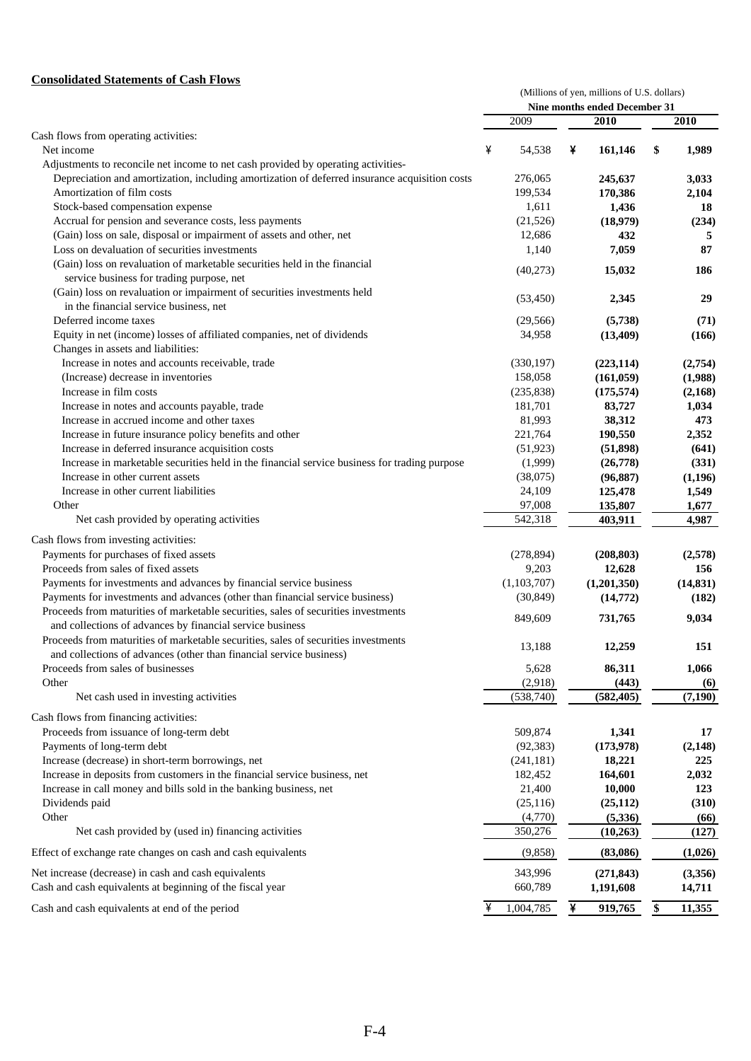## **Consolidated Statements of Cash Flows**

| Consonuateu Biatements of Cash Flows                                                                                  | (Millions of yen, millions of U.S. dollars)<br>Nine months ended December 31 |                    |   |                         |    |                   |  |  |
|-----------------------------------------------------------------------------------------------------------------------|------------------------------------------------------------------------------|--------------------|---|-------------------------|----|-------------------|--|--|
|                                                                                                                       |                                                                              | 2009               |   | 2010                    |    | 2010              |  |  |
| Cash flows from operating activities:                                                                                 |                                                                              |                    |   |                         |    |                   |  |  |
| Net income                                                                                                            | ¥                                                                            | 54,538             | ¥ | 161,146                 | \$ | 1,989             |  |  |
| Adjustments to reconcile net income to net cash provided by operating activities-                                     |                                                                              |                    |   |                         |    |                   |  |  |
| Depreciation and amortization, including amortization of deferred insurance acquisition costs                         |                                                                              | 276,065            |   | 245,637                 |    | 3,033             |  |  |
| Amortization of film costs                                                                                            |                                                                              | 199,534            |   | 170,386                 |    | 2,104             |  |  |
| Stock-based compensation expense                                                                                      |                                                                              | 1,611              |   | 1,436                   |    | 18                |  |  |
| Accrual for pension and severance costs, less payments                                                                |                                                                              | (21, 526)          |   | (18,979)                |    |                   |  |  |
|                                                                                                                       |                                                                              |                    |   |                         |    | (234)             |  |  |
| (Gain) loss on sale, disposal or impairment of assets and other, net<br>Loss on devaluation of securities investments |                                                                              | 12,686             |   | 432                     |    | 5                 |  |  |
|                                                                                                                       |                                                                              | 1,140              |   | 7,059                   |    | 87                |  |  |
| (Gain) loss on revaluation of marketable securities held in the financial                                             |                                                                              | (40,273)           |   | 15,032                  |    | 186               |  |  |
| service business for trading purpose, net                                                                             |                                                                              |                    |   |                         |    |                   |  |  |
| (Gain) loss on revaluation or impairment of securities investments held                                               |                                                                              | (53, 450)          |   | 2,345                   |    | 29                |  |  |
| in the financial service business, net                                                                                |                                                                              |                    |   |                         |    |                   |  |  |
| Deferred income taxes                                                                                                 |                                                                              | (29, 566)          |   | (5,738)                 |    | (71)              |  |  |
| Equity in net (income) losses of affiliated companies, net of dividends                                               |                                                                              | 34,958             |   | (13, 409)               |    | (166)             |  |  |
| Changes in assets and liabilities:                                                                                    |                                                                              |                    |   |                         |    |                   |  |  |
| Increase in notes and accounts receivable, trade                                                                      |                                                                              | (330, 197)         |   | (223, 114)              |    | (2,754)           |  |  |
| (Increase) decrease in inventories                                                                                    |                                                                              | 158,058            |   | (161, 059)              |    | (1,988)           |  |  |
| Increase in film costs                                                                                                |                                                                              | (235, 838)         |   | (175, 574)              |    | (2,168)           |  |  |
| Increase in notes and accounts payable, trade                                                                         |                                                                              | 181,701            |   | 83,727                  |    | 1,034             |  |  |
| Increase in accrued income and other taxes                                                                            |                                                                              | 81,993             |   | 38,312                  |    | 473               |  |  |
| Increase in future insurance policy benefits and other                                                                |                                                                              | 221,764            |   | 190,550                 |    | 2,352             |  |  |
| Increase in deferred insurance acquisition costs                                                                      |                                                                              | (51, 923)          |   | (51, 898)               |    | (641)             |  |  |
| Increase in marketable securities held in the financial service business for trading purpose                          |                                                                              | (1,999)            |   | (26,778)                |    | (331)             |  |  |
| Increase in other current assets                                                                                      |                                                                              | (38,075)           |   | (96, 887)               |    | (1,196)           |  |  |
| Increase in other current liabilities                                                                                 |                                                                              | 24,109             |   | 125,478                 |    | 1,549             |  |  |
| Other                                                                                                                 |                                                                              | 97,008             |   | 135,807                 |    | 1,677             |  |  |
| Net cash provided by operating activities                                                                             |                                                                              | 542,318            |   | 403,911                 |    | 4,987             |  |  |
| Cash flows from investing activities:                                                                                 |                                                                              |                    |   |                         |    |                   |  |  |
| Payments for purchases of fixed assets                                                                                |                                                                              | (278, 894)         |   | (208, 803)              |    | (2,578)           |  |  |
| Proceeds from sales of fixed assets                                                                                   |                                                                              | 9,203              |   | 12,628                  |    | 156               |  |  |
| Payments for investments and advances by financial service business                                                   |                                                                              | (1,103,707)        |   | (1,201,350)             |    | (14, 831)         |  |  |
| Payments for investments and advances (other than financial service business)                                         |                                                                              |                    |   | (14,772)                |    |                   |  |  |
| Proceeds from maturities of marketable securities, sales of securities investments                                    |                                                                              | (30, 849)          |   |                         |    | (182)             |  |  |
|                                                                                                                       |                                                                              | 849,609            |   | 731,765                 |    | 9,034             |  |  |
| and collections of advances by financial service business                                                             |                                                                              |                    |   |                         |    |                   |  |  |
| Proceeds from maturities of marketable securities, sales of securities investments                                    |                                                                              | 13,188             |   | 12,259                  |    | 151               |  |  |
| and collections of advances (other than financial service business)                                                   |                                                                              |                    |   |                         |    |                   |  |  |
| Proceeds from sales of businesses                                                                                     |                                                                              | 5,628              |   | 86,311                  |    | 1,066             |  |  |
| Other                                                                                                                 |                                                                              | (2,918)            |   | (443)                   |    | (6)               |  |  |
| Net cash used in investing activities                                                                                 |                                                                              | (538,740)          |   | (582, 405)              |    | (7, 190)          |  |  |
| Cash flows from financing activities:                                                                                 |                                                                              |                    |   |                         |    |                   |  |  |
| Proceeds from issuance of long-term debt                                                                              |                                                                              | 509,874            |   | 1,341                   |    | 17                |  |  |
| Payments of long-term debt                                                                                            |                                                                              | (92, 383)          |   | (173, 978)              |    | (2,148)           |  |  |
| Increase (decrease) in short-term borrowings, net                                                                     |                                                                              | (241, 181)         |   | 18,221                  |    | 225               |  |  |
| Increase in deposits from customers in the financial service business, net                                            |                                                                              | 182,452            |   | 164,601                 |    | 2,032             |  |  |
| Increase in call money and bills sold in the banking business, net                                                    |                                                                              | 21,400             |   | 10,000                  |    | 123               |  |  |
| Dividends paid                                                                                                        |                                                                              | (25, 116)          |   | (25, 112)               |    | (310)             |  |  |
| Other                                                                                                                 |                                                                              | (4,770)            |   | (5,336)                 |    | (66)              |  |  |
| Net cash provided by (used in) financing activities                                                                   |                                                                              | 350,276            |   | (10,263)                |    | (127)             |  |  |
| Effect of exchange rate changes on cash and cash equivalents                                                          |                                                                              | (9,858)            |   | (83,086)                |    | (1,026)           |  |  |
|                                                                                                                       |                                                                              |                    |   |                         |    |                   |  |  |
| Net increase (decrease) in cash and cash equivalents<br>Cash and cash equivalents at beginning of the fiscal year     |                                                                              | 343,996<br>660,789 |   | (271, 843)<br>1,191,608 |    | (3,356)<br>14,711 |  |  |
|                                                                                                                       | ¥                                                                            | 1,004,785          | ¥ |                         |    |                   |  |  |
| Cash and cash equivalents at end of the period                                                                        |                                                                              |                    |   | 919,765                 | \$ | 11,355            |  |  |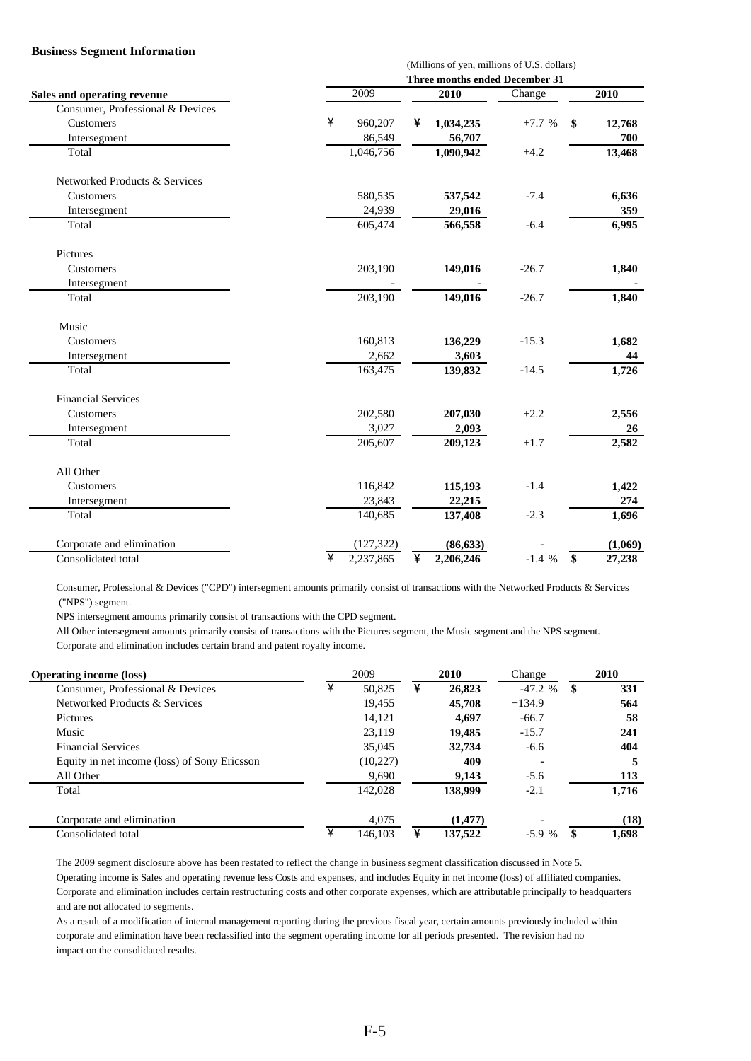## **Business Segment Information**

|                                  | (Millions of yen, millions of U.S. dollars) |            |   |           |                                       |    |         |  |  |  |  |
|----------------------------------|---------------------------------------------|------------|---|-----------|---------------------------------------|----|---------|--|--|--|--|
|                                  |                                             |            |   |           | <b>Three months ended December 31</b> |    |         |  |  |  |  |
| Sales and operating revenue      |                                             | 2009       |   | 2010      | Change                                |    | 2010    |  |  |  |  |
| Consumer, Professional & Devices |                                             |            |   |           |                                       |    |         |  |  |  |  |
| Customers                        | ¥                                           | 960,207    | ¥ | 1,034,235 | $+7.7%$                               | \$ | 12,768  |  |  |  |  |
| Intersegment                     |                                             | 86,549     |   | 56,707    |                                       |    | 700     |  |  |  |  |
| Total                            |                                             | 1,046,756  |   | 1,090,942 | $+4.2$                                |    | 13,468  |  |  |  |  |
| Networked Products & Services    |                                             |            |   |           |                                       |    |         |  |  |  |  |
| Customers                        |                                             | 580,535    |   | 537,542   | $-7.4$                                |    | 6,636   |  |  |  |  |
| Intersegment                     |                                             | 24,939     |   | 29,016    |                                       |    | 359     |  |  |  |  |
| Total                            |                                             | 605,474    |   | 566,558   | $-6.4$                                |    | 6,995   |  |  |  |  |
| Pictures                         |                                             |            |   |           |                                       |    |         |  |  |  |  |
| Customers                        |                                             | 203,190    |   | 149,016   | $-26.7$                               |    | 1,840   |  |  |  |  |
| Intersegment                     |                                             |            |   |           |                                       |    |         |  |  |  |  |
| Total                            |                                             | 203,190    |   | 149,016   | $-26.7$                               |    | 1,840   |  |  |  |  |
| Music                            |                                             |            |   |           |                                       |    |         |  |  |  |  |
| Customers                        |                                             | 160,813    |   | 136,229   | $-15.3$                               |    | 1,682   |  |  |  |  |
| Intersegment                     |                                             | 2,662      |   | 3,603     |                                       |    | 44      |  |  |  |  |
| Total                            |                                             | 163,475    |   | 139,832   | $-14.5$                               |    | 1,726   |  |  |  |  |
| <b>Financial Services</b>        |                                             |            |   |           |                                       |    |         |  |  |  |  |
| Customers                        |                                             | 202,580    |   | 207,030   | $+2.2$                                |    | 2,556   |  |  |  |  |
| Intersegment                     |                                             | 3,027      |   | 2,093     |                                       |    | 26      |  |  |  |  |
| Total                            |                                             | 205,607    |   | 209,123   | $+1.7$                                |    | 2,582   |  |  |  |  |
| All Other                        |                                             |            |   |           |                                       |    |         |  |  |  |  |
| Customers                        |                                             | 116,842    |   | 115,193   | $-1.4$                                |    | 1,422   |  |  |  |  |
| Intersegment                     |                                             | 23,843     |   | 22,215    |                                       |    | 274     |  |  |  |  |
| Total                            |                                             | 140,685    |   | 137,408   | $-2.3$                                |    | 1,696   |  |  |  |  |
| Corporate and elimination        |                                             | (127, 322) |   | (86, 633) |                                       |    | (1,069) |  |  |  |  |
| Consolidated total               | ¥                                           | 2,237,865  | ¥ | 2,206,246 | $-1.4%$                               | \$ | 27,238  |  |  |  |  |

Consumer, Professional & Devices ("CPD") intersegment amounts primarily consist of transactions with the Networked Products & Services ("NPS") segment.

NPS intersegment amounts primarily consist of transactions with the CPD segment.

All Other intersegment amounts primarily consist of transactions with the Pictures segment, the Music segment and the NPS segment. Corporate and elimination includes certain brand and patent royalty income.

| <b>Operating income (loss)</b>               |   | 2009      |   | 2010     | Change   | 2010      |
|----------------------------------------------|---|-----------|---|----------|----------|-----------|
| Consumer, Professional & Devices             | ¥ | 50,825    | ¥ | 26,823   | $-47.2%$ | \$<br>331 |
| Networked Products & Services                |   | 19,455    |   | 45,708   | $+134.9$ | 564       |
| <b>Pictures</b>                              |   | 14,121    |   | 4,697    | $-66.7$  | 58        |
| Music                                        |   | 23,119    |   | 19,485   | $-15.7$  | 241       |
| <b>Financial Services</b>                    |   | 35,045    |   | 32,734   | $-6.6$   | 404       |
| Equity in net income (loss) of Sony Ericsson |   | (10, 227) |   | 409      |          | 5         |
| All Other                                    |   | 9,690     |   | 9,143    | $-5.6$   | 113       |
| Total                                        |   | 142,028   |   | 138,999  | $-2.1$   | 1,716     |
| Corporate and elimination                    |   | 4,075     |   | (1, 477) |          | (18)      |
| Consolidated total                           | ¥ | 146.103   |   | 137.522  | $-5.9%$  | 1.698     |

The 2009 segment disclosure above has been restated to reflect the change in business segment classification discussed in Note 5. Operating income is Sales and operating revenue less Costs and expenses, and includes Equity in net income (loss) of affiliated companies. Corporate and elimination includes certain restructuring costs and other corporate expenses, which are attributable principally to headquarters and are not allocated to segments.

As a result of a modification of internal management reporting during the previous fiscal year, certain amounts previously included within corporate and elimination have been reclassified into the segment operating income for all periods presented. The revision had no impact on the consolidated results.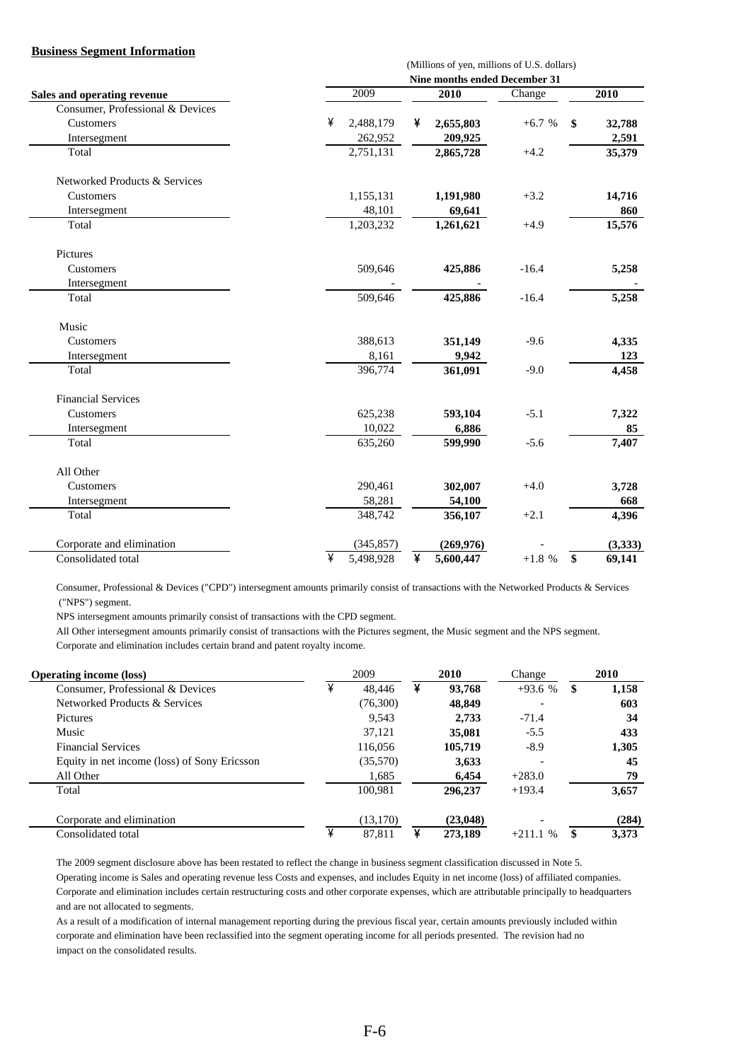## **Business Segment Information**

|                                  | (Millions of yen, millions of U.S. dollars) |                                      |          |              |  |  |  |  |  |  |
|----------------------------------|---------------------------------------------|--------------------------------------|----------|--------------|--|--|--|--|--|--|
|                                  |                                             | <b>Nine months ended December 31</b> |          |              |  |  |  |  |  |  |
| Sales and operating revenue      | 2009                                        | 2010                                 | Change   | 2010         |  |  |  |  |  |  |
| Consumer, Professional & Devices |                                             |                                      |          |              |  |  |  |  |  |  |
| Customers                        | ¥<br>2,488,179                              | ¥<br>2,655,803                       | $+6.7%$  | \$<br>32,788 |  |  |  |  |  |  |
| Intersegment                     | 262,952                                     | 209,925                              |          | 2,591        |  |  |  |  |  |  |
| Total                            | 2,751,131                                   | 2,865,728                            | $+4.2$   | 35,379       |  |  |  |  |  |  |
| Networked Products & Services    |                                             |                                      |          |              |  |  |  |  |  |  |
| Customers                        | 1,155,131                                   | 1,191,980                            | $+3.2$   | 14,716       |  |  |  |  |  |  |
| Intersegment                     | 48,101                                      | 69,641                               |          | 860          |  |  |  |  |  |  |
| Total                            | 1,203,232                                   | 1,261,621                            | $+4.9$   | 15,576       |  |  |  |  |  |  |
| Pictures                         |                                             |                                      |          |              |  |  |  |  |  |  |
| Customers                        | 509,646                                     | 425,886                              | $-16.4$  | 5,258        |  |  |  |  |  |  |
| Intersegment                     |                                             |                                      |          |              |  |  |  |  |  |  |
| Total                            | 509,646                                     | 425,886                              | $-16.4$  | 5,258        |  |  |  |  |  |  |
| Music                            |                                             |                                      |          |              |  |  |  |  |  |  |
| Customers                        | 388,613                                     | 351,149                              | $-9.6$   | 4,335        |  |  |  |  |  |  |
| Intersegment                     | 8,161                                       | 9,942                                |          | 123          |  |  |  |  |  |  |
| Total                            | 396,774                                     | 361,091                              | $-9.0$   | 4,458        |  |  |  |  |  |  |
| <b>Financial Services</b>        |                                             |                                      |          |              |  |  |  |  |  |  |
| Customers                        | 625,238                                     | 593,104                              | $-5.1$   | 7,322        |  |  |  |  |  |  |
| Intersegment                     | 10,022                                      | 6,886                                |          | 85           |  |  |  |  |  |  |
| Total                            | 635,260                                     | 599,990                              | $-5.6$   | 7,407        |  |  |  |  |  |  |
| All Other                        |                                             |                                      |          |              |  |  |  |  |  |  |
| Customers                        | 290,461                                     | 302,007                              | $+4.0$   | 3,728        |  |  |  |  |  |  |
| Intersegment                     | 58,281                                      | 54,100                               |          | 668          |  |  |  |  |  |  |
| Total                            | 348,742                                     | 356,107                              | $+2.1$   | 4,396        |  |  |  |  |  |  |
| Corporate and elimination        | (345, 857)                                  | (269, 976)                           |          | (3,333)      |  |  |  |  |  |  |
| Consolidated total               | ¥<br>5,498,928                              | ¥<br>5,600,447                       | $+1.8$ % | \$<br>69,141 |  |  |  |  |  |  |

Consumer, Professional & Devices ("CPD") intersegment amounts primarily consist of transactions with the Networked Products & Services ("NPS") segment.

NPS intersegment amounts primarily consist of transactions with the CPD segment.

All Other intersegment amounts primarily consist of transactions with the Pictures segment, the Music segment and the NPS segment. Corporate and elimination includes certain brand and patent royalty income.

| <b>Operating income (loss)</b>               |   | 2009      |   | 2010     | Change           |    | 2010  |
|----------------------------------------------|---|-----------|---|----------|------------------|----|-------|
| Consumer, Professional & Devices             | ¥ | 48,446    | ¥ | 93,768   | $+93.6%$         | \$ | 1,158 |
| Networked Products & Services                |   | (76,300)  |   | 48,849   |                  |    | 603   |
| <b>Pictures</b>                              |   | 9,543     |   | 2,733    | $-71.4$          |    | 34    |
| Music                                        |   | 37,121    |   | 35,081   | $-5.5$           |    | 433   |
| <b>Financial Services</b>                    |   | 116,056   |   | 105,719  | $-8.9$           |    | 1,305 |
| Equity in net income (loss) of Sony Ericsson |   | (35,570)  |   | 3,633    |                  |    | 45    |
| All Other                                    |   | 1,685     |   | 6,454    | $+283.0$         |    | 79    |
| Total                                        |   | 100,981   |   | 296,237  | $+193.4$         |    | 3,657 |
| Corporate and elimination                    |   | (13, 170) |   | (23,048) |                  |    | (284) |
| Consolidated total                           | ¥ | 87,811    |   | 273,189  | $\%$<br>$+211.1$ | S  | 3,373 |

The 2009 segment disclosure above has been restated to reflect the change in business segment classification discussed in Note 5. Operating income is Sales and operating revenue less Costs and expenses, and includes Equity in net income (loss) of affiliated companies. Corporate and elimination includes certain restructuring costs and other corporate expenses, which are attributable principally to headquarters and are not allocated to segments.

As a result of a modification of internal management reporting during the previous fiscal year, certain amounts previously included within corporate and elimination have been reclassified into the segment operating income for all periods presented. The revision had no impact on the consolidated results.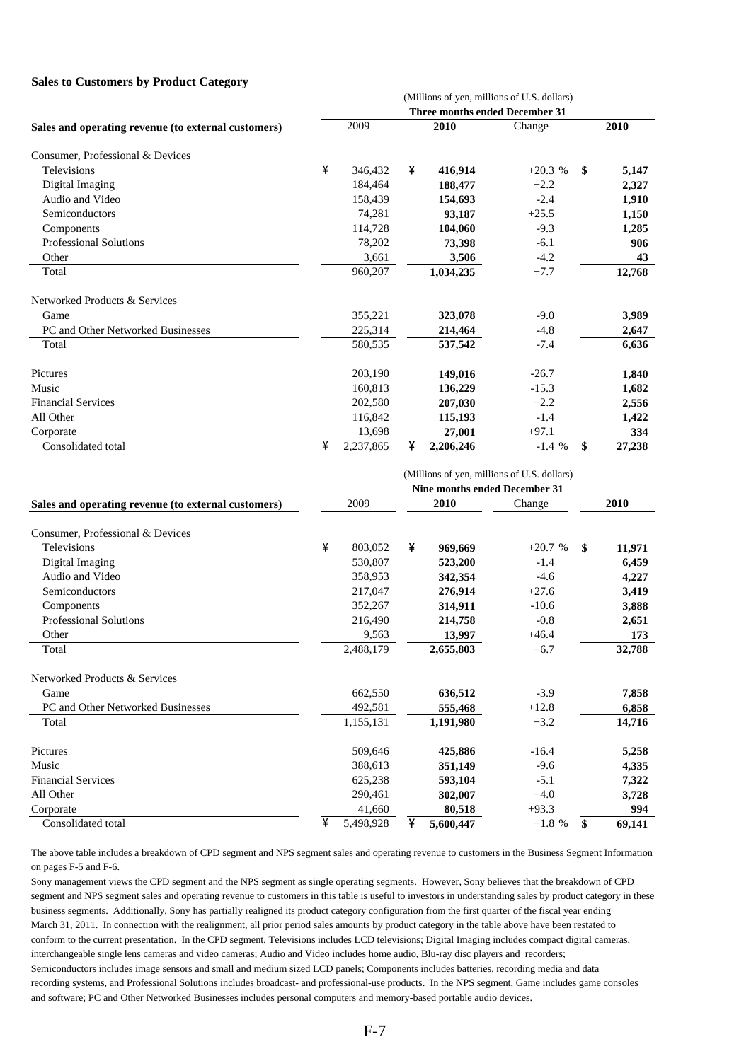#### **Sales to Customers by Product Category**

|                                                     | (Millions of yen, millions of U.S. dollars) |           |   |           |                                |              |        |  |  |  |  |  |
|-----------------------------------------------------|---------------------------------------------|-----------|---|-----------|--------------------------------|--------------|--------|--|--|--|--|--|
|                                                     |                                             |           |   |           | Three months ended December 31 |              |        |  |  |  |  |  |
| Sales and operating revenue (to external customers) |                                             | 2009      |   | 2010      | Change                         |              | 2010   |  |  |  |  |  |
| Consumer, Professional & Devices                    |                                             |           |   |           |                                |              |        |  |  |  |  |  |
| <b>Televisions</b>                                  | ¥                                           | 346,432   | ¥ | 416,914   | $+20.3%$                       | $\mathbf{s}$ | 5,147  |  |  |  |  |  |
| Digital Imaging                                     |                                             | 184,464   |   | 188,477   | $+2.2$                         |              | 2,327  |  |  |  |  |  |
| Audio and Video                                     |                                             | 158,439   |   | 154,693   | $-2.4$                         |              | 1,910  |  |  |  |  |  |
| Semiconductors                                      |                                             | 74,281    |   | 93,187    | $+25.5$                        |              | 1,150  |  |  |  |  |  |
| Components                                          |                                             | 114,728   |   | 104,060   | $-9.3$                         |              | 1,285  |  |  |  |  |  |
| Professional Solutions                              |                                             | 78,202    |   | 73,398    | $-6.1$                         |              | 906    |  |  |  |  |  |
| Other                                               |                                             | 3,661     |   | 3,506     | $-4.2$                         |              | 43     |  |  |  |  |  |
| Total                                               |                                             | 960,207   |   | 1,034,235 | $+7.7$                         |              | 12,768 |  |  |  |  |  |
| Networked Products & Services                       |                                             |           |   |           |                                |              |        |  |  |  |  |  |
| Game                                                |                                             | 355,221   |   | 323,078   | $-9.0$                         |              | 3,989  |  |  |  |  |  |
| PC and Other Networked Businesses                   |                                             | 225,314   |   | 214,464   | $-4.8$                         |              | 2,647  |  |  |  |  |  |
| Total                                               |                                             | 580,535   |   | 537,542   | $-7.4$                         |              | 6,636  |  |  |  |  |  |
| Pictures                                            |                                             | 203,190   |   | 149,016   | $-26.7$                        |              | 1,840  |  |  |  |  |  |
| Music                                               |                                             | 160,813   |   | 136,229   | $-15.3$                        |              | 1,682  |  |  |  |  |  |
| <b>Financial Services</b>                           |                                             | 202,580   |   | 207,030   | $+2.2$                         |              | 2,556  |  |  |  |  |  |
| All Other                                           |                                             | 116,842   |   | 115,193   | $-1.4$                         |              | 1,422  |  |  |  |  |  |
| Corporate                                           |                                             | 13,698    |   | 27,001    | $+97.1$                        |              | 334    |  |  |  |  |  |
| Consolidated total                                  | ¥                                           | 2,237,865 | ¥ | 2,206,246 | $-1.4%$                        | \$           | 27,238 |  |  |  |  |  |

|                                                     | (Millions of yen, millions of U.S. dollars) |           |      |           |                               |    |        |  |  |  |  |
|-----------------------------------------------------|---------------------------------------------|-----------|------|-----------|-------------------------------|----|--------|--|--|--|--|
|                                                     |                                             |           |      |           | Nine months ended December 31 |    |        |  |  |  |  |
| Sales and operating revenue (to external customers) |                                             | 2009      | 2010 |           | Change                        |    | 2010   |  |  |  |  |
| Consumer, Professional & Devices                    |                                             |           |      |           |                               |    |        |  |  |  |  |
| Televisions                                         | ¥                                           | 803,052   | ¥    | 969,669   | $+20.7%$                      | \$ | 11,971 |  |  |  |  |
| Digital Imaging                                     |                                             | 530,807   |      | 523,200   | $-1.4$                        |    | 6,459  |  |  |  |  |
| Audio and Video                                     |                                             | 358,953   |      | 342,354   | $-4.6$                        |    | 4,227  |  |  |  |  |
| Semiconductors                                      |                                             | 217,047   |      | 276,914   | $+27.6$                       |    | 3,419  |  |  |  |  |
| Components                                          |                                             | 352,267   |      | 314,911   | $-10.6$                       |    | 3,888  |  |  |  |  |
| <b>Professional Solutions</b>                       |                                             | 216,490   |      | 214,758   | $-0.8$                        |    | 2,651  |  |  |  |  |
| Other                                               |                                             | 9,563     |      | 13,997    | $+46.4$                       |    | 173    |  |  |  |  |
| Total                                               |                                             | 2,488,179 |      | 2,655,803 | $+6.7$                        |    | 32,788 |  |  |  |  |
| Networked Products & Services                       |                                             |           |      |           |                               |    |        |  |  |  |  |
| Game                                                |                                             | 662,550   |      | 636,512   | $-3.9$                        |    | 7,858  |  |  |  |  |
| PC and Other Networked Businesses                   |                                             | 492,581   |      | 555,468   | $+12.8$                       |    | 6,858  |  |  |  |  |
| Total                                               |                                             | 1,155,131 |      | 1,191,980 | $+3.2$                        |    | 14,716 |  |  |  |  |
| Pictures                                            |                                             | 509,646   |      | 425,886   | $-16.4$                       |    | 5,258  |  |  |  |  |
| Music                                               |                                             | 388,613   |      | 351,149   | $-9.6$                        |    | 4,335  |  |  |  |  |
| <b>Financial Services</b>                           |                                             | 625,238   |      | 593,104   | $-5.1$                        |    | 7,322  |  |  |  |  |
| All Other                                           |                                             | 290,461   |      | 302,007   | $+4.0$                        |    | 3,728  |  |  |  |  |
| Corporate                                           |                                             | 41.660    |      | 80,518    | $+93.3$                       |    | 994    |  |  |  |  |
| Consolidated total                                  | ¥                                           | 5,498,928 | ¥    | 5,600,447 | $+1.8 %$                      | \$ | 69,141 |  |  |  |  |

The above table includes a breakdown of CPD segment and NPS segment sales and operating revenue to customers in the Business Segment Information on pages F-5 and F-6.

Sony management views the CPD segment and the NPS segment as single operating segments. However, Sony believes that the breakdown of CPD segment and NPS segment sales and operating revenue to customers in this table is useful to investors in understanding sales by product category in these business segments. Additionally, Sony has partially realigned its product category configuration from the first quarter of the fiscal year ending March 31, 2011. In connection with the realignment, all prior period sales amounts by product category in the table above have been restated to conform to the current presentation. In the CPD segment, Televisions includes LCD televisions; Digital Imaging includes compact digital cameras, interchangeable single lens cameras and video cameras; Audio and Video includes home audio, Blu-ray disc players and recorders; Semiconductors includes image sensors and small and medium sized LCD panels; Components includes batteries, recording media and data recording systems, and Professional Solutions includes broadcast- and professional-use products. In the NPS segment, Game includes game consoles and software; PC and Other Networked Businesses includes personal computers and memory-based portable audio devices.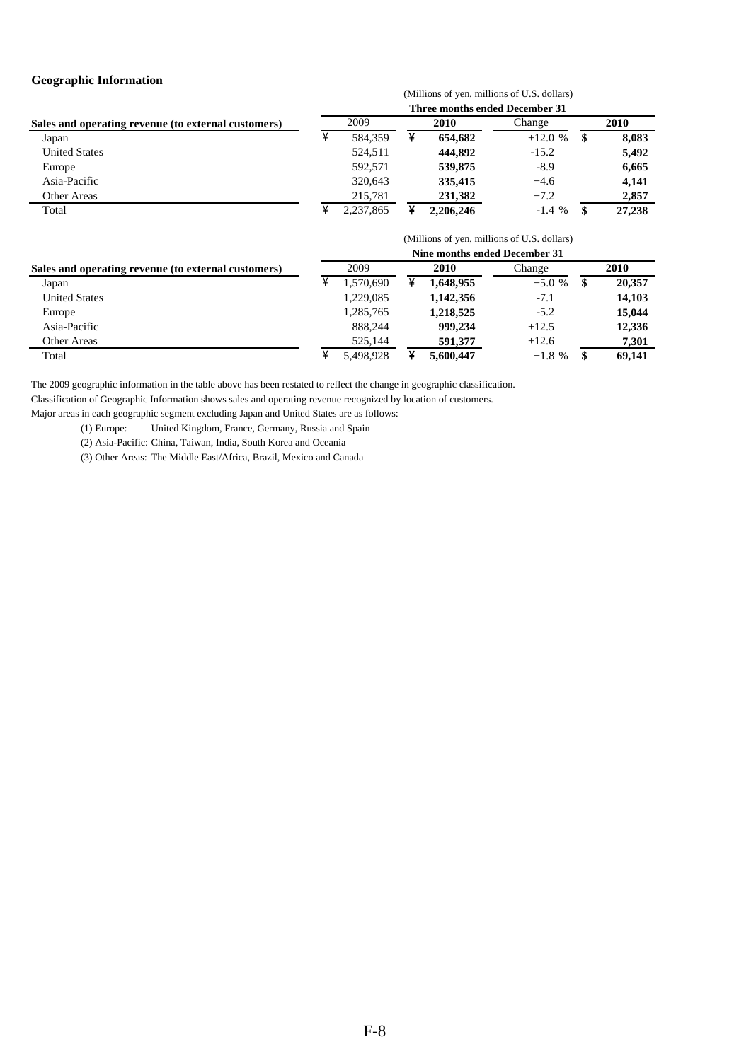## **Geographic Information**

|                                                     | (Millions of yen, millions of U.S. dollars)<br>Three months ended December 31 |           |   |           |          |    |        |  |  |  |  |  |
|-----------------------------------------------------|-------------------------------------------------------------------------------|-----------|---|-----------|----------|----|--------|--|--|--|--|--|
| Sales and operating revenue (to external customers) |                                                                               |           |   |           |          |    |        |  |  |  |  |  |
|                                                     |                                                                               | 2009      |   | 2010      | Change   |    | 2010   |  |  |  |  |  |
| Japan                                               |                                                                               | 584.359   | ¥ | 654.682   | $+12.0%$ | \$ | 8,083  |  |  |  |  |  |
| <b>United States</b>                                |                                                                               | 524,511   |   | 444,892   | $-15.2$  |    | 5,492  |  |  |  |  |  |
| Europe                                              |                                                                               | 592,571   |   | 539,875   | $-8.9$   |    | 6,665  |  |  |  |  |  |
| Asia-Pacific                                        |                                                                               | 320,643   |   | 335,415   | $+4.6$   |    | 4,141  |  |  |  |  |  |
| Other Areas                                         |                                                                               | 215,781   |   | 231,382   | $+7.2$   |    | 2,857  |  |  |  |  |  |
| Total                                               |                                                                               | 2,237,865 |   | 2,206,246 | $-1.4\%$ |    | 27,238 |  |  |  |  |  |

| Sales and operating revenue (to external customers) | (Millions of yen, millions of U.S. dollars)<br>Nine months ended December 31 |           |  |           |          |    |        |  |  |  |  |
|-----------------------------------------------------|------------------------------------------------------------------------------|-----------|--|-----------|----------|----|--------|--|--|--|--|
|                                                     |                                                                              | 2009      |  | 2010      | Change   |    | 2010   |  |  |  |  |
| Japan                                               |                                                                              | 1,570,690 |  | 1,648,955 | $+5.0%$  | \$ | 20,357 |  |  |  |  |
| <b>United States</b>                                |                                                                              | 1,229,085 |  | 1,142,356 | $-7.1$   |    | 14,103 |  |  |  |  |
| Europe                                              |                                                                              | 1,285,765 |  | 1,218,525 | $-5.2$   |    | 15,044 |  |  |  |  |
| Asia-Pacific                                        |                                                                              | 888.244   |  | 999.234   | $+12.5$  |    | 12,336 |  |  |  |  |
| Other Areas                                         |                                                                              | 525,144   |  | 591,377   | $+12.6$  |    | 7,301  |  |  |  |  |
| Total                                               |                                                                              | 5.498.928 |  | 5,600,447 | $+1.8$ % |    | 69.141 |  |  |  |  |

The 2009 geographic information in the table above has been restated to reflect the change in geographic classification.

Classification of Geographic Information shows sales and operating revenue recognized by location of customers.

Major areas in each geographic segment excluding Japan and United States are as follows:

(1) Europe: United Kingdom, France, Germany, Russia and Spain

(2) Asia-Pacific: China, Taiwan, India, South Korea and Oceania

(3) Other Areas: The Middle East/Africa, Brazil, Mexico and Canada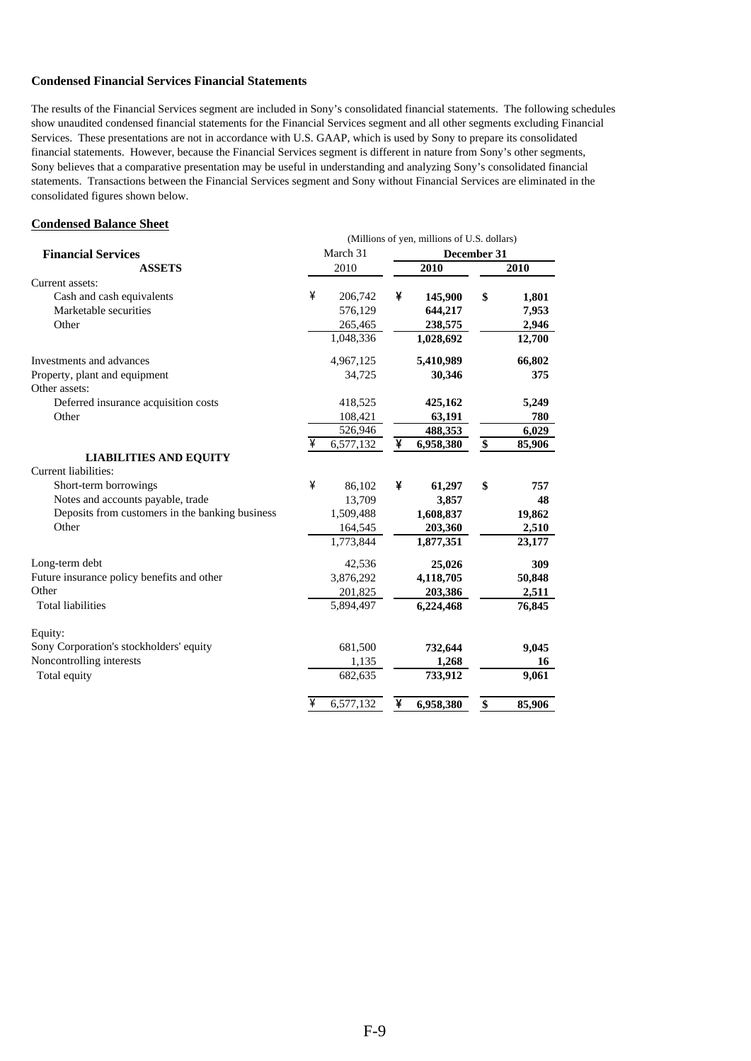#### **Condensed Financial Services Financial Statements**

The results of the Financial Services segment are included in Sony's consolidated financial statements. The following schedules show unaudited condensed financial statements for the Financial Services segment and all other segments excluding Financial Services. These presentations are not in accordance with U.S. GAAP, which is used by Sony to prepare its consolidated financial statements. However, because the Financial Services segment is different in nature from Sony's other segments, Sony believes that a comparative presentation may be useful in understanding and analyzing Sony's consolidated financial statements. Transactions between the Financial Services segment and Sony without Financial Services are eliminated in the consolidated figures shown below.

### **Condensed Balance Sheet**

| (Millions of yen, millions of U.S. dollars)     |   |           |   |           |             |        |  |
|-------------------------------------------------|---|-----------|---|-----------|-------------|--------|--|
| <b>Financial Services</b>                       |   | March 31  |   |           | December 31 |        |  |
| <b>ASSETS</b>                                   |   | 2010      |   | 2010      |             | 2010   |  |
| Current assets:                                 |   |           |   |           |             |        |  |
| Cash and cash equivalents                       | ¥ | 206,742   | ¥ | 145,900   | \$          | 1,801  |  |
| Marketable securities                           |   | 576,129   |   | 644,217   |             | 7,953  |  |
| Other                                           |   | 265,465   |   | 238,575   |             | 2,946  |  |
|                                                 |   | 1,048,336 |   | 1,028,692 |             | 12,700 |  |
| Investments and advances                        |   | 4,967,125 |   | 5,410,989 |             | 66,802 |  |
| Property, plant and equipment                   |   | 34,725    |   | 30,346    |             | 375    |  |
| Other assets:                                   |   |           |   |           |             |        |  |
| Deferred insurance acquisition costs            |   | 418,525   |   | 425,162   |             | 5,249  |  |
| Other                                           |   | 108,421   |   | 63,191    |             | 780    |  |
|                                                 |   | 526,946   |   | 488,353   |             | 6,029  |  |
|                                                 | ¥ | 6,577,132 | ¥ | 6,958,380 | \$          | 85,906 |  |
| <b>LIABILITIES AND EQUITY</b>                   |   |           |   |           |             |        |  |
| Current liabilities:                            |   |           |   |           |             |        |  |
| Short-term borrowings                           | ¥ | 86,102    | ¥ | 61,297    | \$          | 757    |  |
| Notes and accounts payable, trade               |   | 13,709    |   | 3,857     |             | 48     |  |
| Deposits from customers in the banking business |   | 1,509,488 |   | 1,608,837 |             | 19,862 |  |
| Other                                           |   | 164,545   |   | 203,360   |             | 2,510  |  |
|                                                 |   | 1,773,844 |   | 1,877,351 |             | 23,177 |  |
| Long-term debt                                  |   | 42,536    |   | 25,026    |             | 309    |  |
| Future insurance policy benefits and other      |   | 3,876,292 |   | 4,118,705 |             | 50,848 |  |
| Other                                           |   | 201,825   |   | 203,386   |             | 2,511  |  |
| <b>Total liabilities</b>                        |   | 5,894,497 |   | 6,224,468 |             | 76,845 |  |
| Equity:                                         |   |           |   |           |             |        |  |
| Sony Corporation's stockholders' equity         |   | 681,500   |   | 732,644   |             | 9,045  |  |
| Noncontrolling interests                        |   | 1,135     |   | 1,268     |             | 16     |  |
| Total equity                                    |   | 682,635   |   | 733,912   |             | 9,061  |  |
|                                                 | ¥ | 6,577,132 | ¥ | 6,958,380 | \$          | 85,906 |  |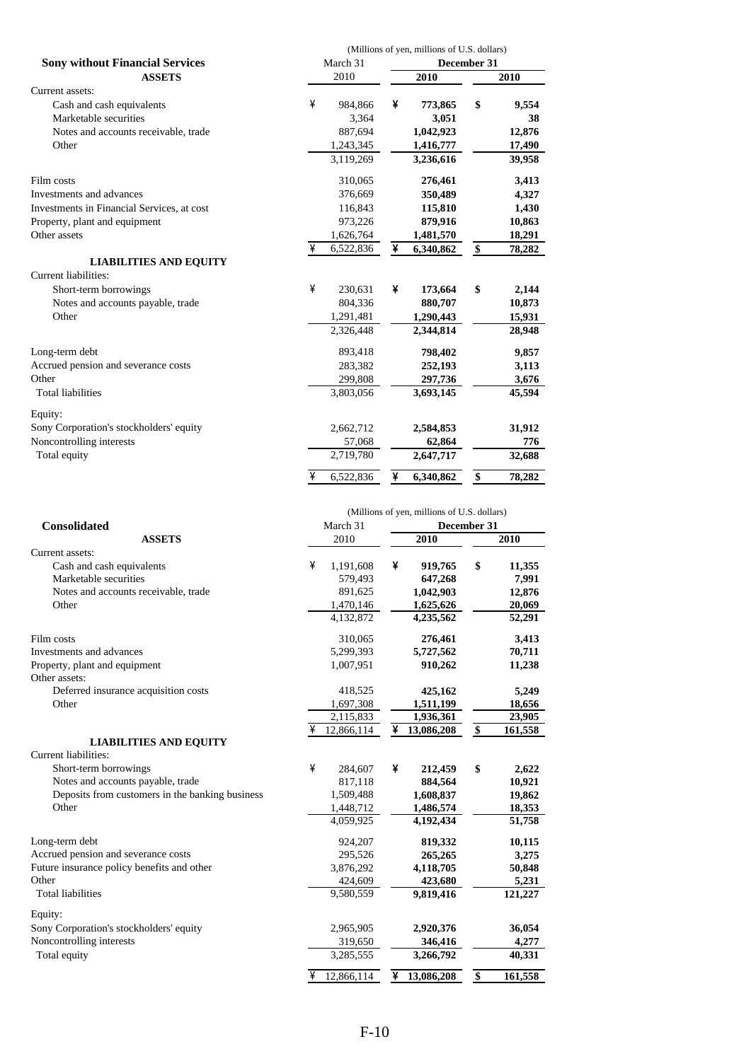|                                            | (Millions of yen, millions of U.S. dollars) |           |   |           |             |        |  |  |  |
|--------------------------------------------|---------------------------------------------|-----------|---|-----------|-------------|--------|--|--|--|
| <b>Sony without Financial Services</b>     | March 31                                    |           |   |           | December 31 |        |  |  |  |
| <b>ASSETS</b>                              |                                             | 2010      |   | 2010      |             | 2010   |  |  |  |
| Current assets:                            |                                             |           |   |           |             |        |  |  |  |
| Cash and cash equivalents                  | ¥                                           | 984,866   | ¥ | 773,865   | \$          | 9,554  |  |  |  |
| Marketable securities                      |                                             | 3,364     |   | 3,051     |             | 38     |  |  |  |
| Notes and accounts receivable, trade       |                                             | 887,694   |   | 1,042,923 |             | 12,876 |  |  |  |
| Other                                      |                                             | 1,243,345 |   | 1,416,777 |             | 17,490 |  |  |  |
|                                            |                                             | 3.119.269 |   | 3,236,616 |             | 39,958 |  |  |  |
| Film costs                                 |                                             | 310,065   |   | 276,461   |             | 3,413  |  |  |  |
| Investments and advances                   |                                             | 376,669   |   | 350,489   |             | 4,327  |  |  |  |
| Investments in Financial Services, at cost |                                             | 116,843   |   | 115,810   |             | 1,430  |  |  |  |
| Property, plant and equipment              |                                             | 973,226   |   | 879,916   |             | 10,863 |  |  |  |
| Other assets                               |                                             | 1,626,764 |   | 1,481,570 |             | 18,291 |  |  |  |
|                                            | ¥                                           | 6,522,836 | ¥ | 6,340,862 | \$          | 78,282 |  |  |  |
| <b>LIABILITIES AND EQUITY</b>              |                                             |           |   |           |             |        |  |  |  |
| Current liabilities:                       |                                             |           |   |           |             |        |  |  |  |
| Short-term borrowings                      | ¥                                           | 230,631   | ¥ | 173,664   | \$          | 2,144  |  |  |  |
| Notes and accounts payable, trade          |                                             | 804,336   |   | 880,707   |             | 10,873 |  |  |  |
| Other                                      |                                             | 1,291,481 |   | 1,290,443 |             | 15,931 |  |  |  |
|                                            |                                             | 2,326,448 |   | 2,344,814 |             | 28,948 |  |  |  |
| Long-term debt                             |                                             | 893,418   |   | 798,402   |             | 9,857  |  |  |  |
| Accrued pension and severance costs        |                                             | 283,382   |   | 252,193   |             | 3,113  |  |  |  |
| Other                                      |                                             | 299,808   |   | 297,736   |             | 3,676  |  |  |  |
| <b>Total liabilities</b>                   |                                             | 3,803,056 |   | 3,693,145 |             | 45,594 |  |  |  |
| Equity:                                    |                                             |           |   |           |             |        |  |  |  |
| Sony Corporation's stockholders' equity    |                                             | 2,662,712 |   | 2,584,853 |             | 31,912 |  |  |  |
| Noncontrolling interests                   |                                             | 57,068    |   | 62,864    |             | 776    |  |  |  |
| Total equity                               |                                             | 2,719,780 |   | 2,647,717 |             | 32,688 |  |  |  |
|                                            | ¥                                           | 6,522,836 | ¥ | 6.340.862 | \$          | 78,282 |  |  |  |

|                                                 | (Millions of yen, millions of U.S. dollars) |                 |                            |  |  |  |  |  |
|-------------------------------------------------|---------------------------------------------|-----------------|----------------------------|--|--|--|--|--|
| <b>Consolidated</b>                             | March 31                                    |                 | December 31                |  |  |  |  |  |
| <b>ASSETS</b>                                   | 2010                                        | 2010            | 2010                       |  |  |  |  |  |
| Current assets:                                 |                                             |                 |                            |  |  |  |  |  |
| Cash and cash equivalents                       | ¥<br>1,191,608                              | ¥<br>919,765    | \$<br>11,355               |  |  |  |  |  |
| Marketable securities                           | 579,493                                     | 647,268         | 7,991                      |  |  |  |  |  |
| Notes and accounts receivable, trade            | 891,625                                     | 1,042,903       | 12,876                     |  |  |  |  |  |
| Other                                           | 1,470,146                                   | 1,625,626       | 20,069                     |  |  |  |  |  |
|                                                 | 4,132,872                                   | 4,235,562       | 52,291                     |  |  |  |  |  |
| Film costs                                      | 310,065                                     | 276,461         | 3,413                      |  |  |  |  |  |
| Investments and advances                        | 5,299,393                                   | 5,727,562       | 70,711                     |  |  |  |  |  |
| Property, plant and equipment                   | 1,007,951                                   | 910,262         | 11,238                     |  |  |  |  |  |
| Other assets:                                   |                                             |                 |                            |  |  |  |  |  |
| Deferred insurance acquisition costs            | 418,525                                     | 425,162         | 5,249                      |  |  |  |  |  |
| Other                                           | 1,697,308                                   | 1,511,199       | 18,656                     |  |  |  |  |  |
|                                                 | 2,115,833                                   | 1,936,361       | 23,905                     |  |  |  |  |  |
|                                                 | 12,866,114                                  | ¥<br>13,086,208 | $\overline{\$}$<br>161,558 |  |  |  |  |  |
| <b>LIABILITIES AND EQUITY</b>                   |                                             |                 |                            |  |  |  |  |  |
| Current liabilities:                            |                                             |                 |                            |  |  |  |  |  |
| Short-term borrowings                           | ¥<br>284,607                                | ¥<br>212,459    | \$<br>2,622                |  |  |  |  |  |
| Notes and accounts payable, trade               | 817,118                                     | 884,564         | 10,921                     |  |  |  |  |  |
| Deposits from customers in the banking business | 1,509,488                                   | 1,608,837       | 19,862                     |  |  |  |  |  |
| Other                                           | 1,448,712                                   | 1,486,574       | 18,353                     |  |  |  |  |  |
|                                                 | 4,059,925                                   | 4,192,434       | 51,758                     |  |  |  |  |  |
| Long-term debt                                  | 924,207                                     | 819,332         | 10,115                     |  |  |  |  |  |
| Accrued pension and severance costs             | 295,526                                     | 265,265         | 3,275                      |  |  |  |  |  |
| Future insurance policy benefits and other      | 3,876,292                                   | 4,118,705       | 50,848                     |  |  |  |  |  |
| Other                                           | 424,609                                     | 423,680         | 5,231                      |  |  |  |  |  |
| <b>Total liabilities</b>                        | 9,580,559                                   | 9,819,416       | 121,227                    |  |  |  |  |  |
| Equity:                                         |                                             |                 |                            |  |  |  |  |  |
| Sony Corporation's stockholders' equity         | 2,965,905                                   | 2,920,376       | 36,054                     |  |  |  |  |  |
| Noncontrolling interests                        | 319,650                                     | 346,416         | 4,277                      |  |  |  |  |  |
| Total equity                                    | 3,285,555                                   | 3,266,792       | 40,331                     |  |  |  |  |  |
|                                                 | 12.866.114<br>¥                             | ¥<br>13,086,208 | \$<br>161,558              |  |  |  |  |  |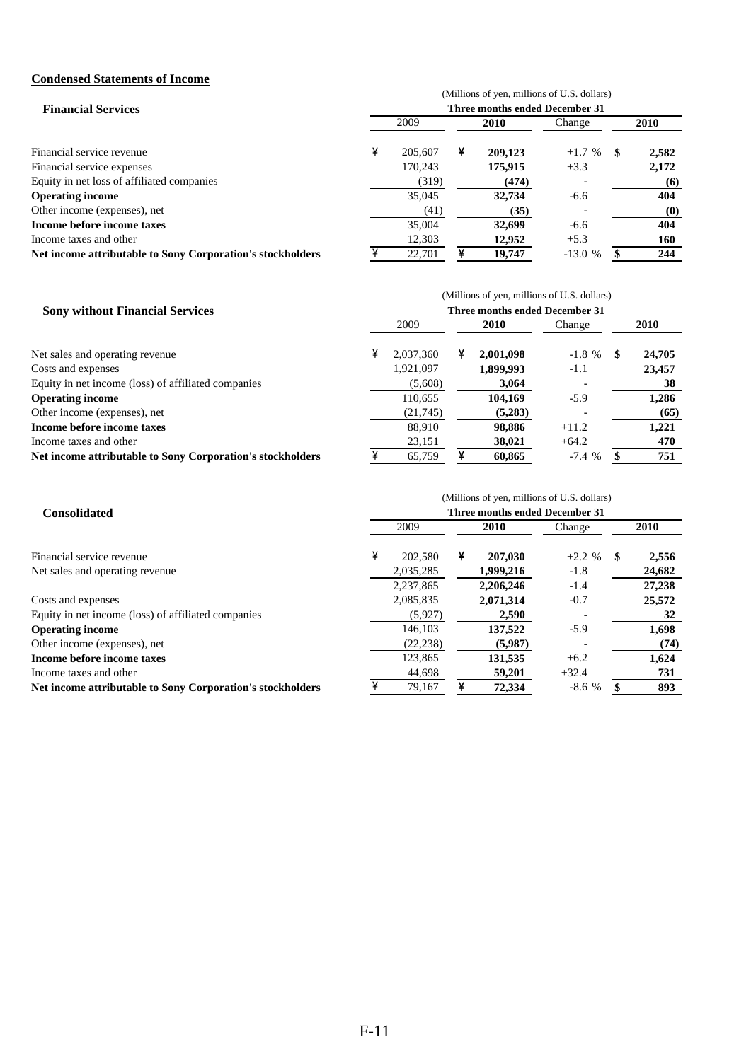## **Condensed Statements of Income**

|                                                            | (Millions of yen, millions of U.S. dollars) |         |   |                                |          |             |                               |  |  |  |
|------------------------------------------------------------|---------------------------------------------|---------|---|--------------------------------|----------|-------------|-------------------------------|--|--|--|
| <b>Financial Services</b>                                  |                                             |         |   | Three months ended December 31 |          |             |                               |  |  |  |
|                                                            |                                             | 2009    |   | 2010                           | Change   | <b>2010</b> |                               |  |  |  |
| Financial service revenue                                  | ¥                                           | 205,607 | ¥ | 209,123                        | $+1.7$ % | S.          | 2,582                         |  |  |  |
| Financial service expenses                                 |                                             | 170.243 |   | 175,915                        | $+3.3$   |             | 2,172                         |  |  |  |
| Equity in net loss of affiliated companies                 |                                             | (319)   |   | (474)                          |          |             | (6)                           |  |  |  |
| <b>Operating income</b>                                    |                                             | 35,045  |   | 32,734                         | $-6.6$   |             | 404                           |  |  |  |
| Other income (expenses), net                               |                                             | (41)    |   | (35)                           |          |             | $\boldsymbol{\left(0\right)}$ |  |  |  |
| Income before income taxes                                 |                                             | 35,004  |   | 32,699                         | $-6.6$   |             | 404                           |  |  |  |
| Income taxes and other                                     |                                             | 12,303  |   | 12,952                         | $+5.3$   |             | 160                           |  |  |  |
| Net income attributable to Sony Corporation's stockholders |                                             | 22,701  |   | 19,747                         | $-13.0%$ |             | 244                           |  |  |  |
|                                                            |                                             |         |   |                                |          |             |                               |  |  |  |

|                                                            | (Millions of yen, millions of U.S. dollars) |           |  |             |          |    |             |  |  |  |
|------------------------------------------------------------|---------------------------------------------|-----------|--|-------------|----------|----|-------------|--|--|--|
| <b>Sony without Financial Services</b>                     | Three months ended December 31              |           |  |             |          |    |             |  |  |  |
|                                                            |                                             | 2009      |  | <b>2010</b> | Change   |    | <b>2010</b> |  |  |  |
| Net sales and operating revenue                            | ¥                                           | 2.037.360 |  | 2,001,098   | $-1.8\%$ | \$ | 24,705      |  |  |  |
| Costs and expenses                                         |                                             | 1.921.097 |  | 1,899,993   | $-1.1$   |    | 23,457      |  |  |  |
| Equity in net income (loss) of affiliated companies        |                                             | (5,608)   |  | 3,064       |          |    | 38          |  |  |  |
| <b>Operating income</b>                                    |                                             | 110,655   |  | 104.169     | $-5.9$   |    | 1,286       |  |  |  |
| Other income (expenses), net                               |                                             | (21,745)  |  | (5,283)     |          |    | (65)        |  |  |  |
| Income before income taxes                                 |                                             | 88,910    |  | 98,886      | $+11.2$  |    | 1,221       |  |  |  |
| Income taxes and other                                     |                                             | 23,151    |  | 38,021      | $+64.2$  |    | 470         |  |  |  |
| Net income attributable to Sony Corporation's stockholders |                                             | 65,759    |  | 60,865      | $-7.4%$  |    | 751         |  |  |  |

|                                                            | (Millions of yen, millions of U.S. dollars) |           |  |           |          |   |             |  |  |  |
|------------------------------------------------------------|---------------------------------------------|-----------|--|-----------|----------|---|-------------|--|--|--|
| <b>Consolidated</b>                                        | Three months ended December 31              |           |  |           |          |   |             |  |  |  |
|                                                            |                                             | 2009      |  | 2010      | Change   |   | <b>2010</b> |  |  |  |
| Financial service revenue                                  | ¥                                           | 202,580   |  | 207,030   | $+2.2 %$ | S | 2,556       |  |  |  |
| Net sales and operating revenue                            |                                             | 2,035,285 |  | 1,999,216 | $-1.8$   |   | 24,682      |  |  |  |
|                                                            |                                             | 2,237,865 |  | 2.206.246 | $-1.4$   |   | 27,238      |  |  |  |
| Costs and expenses                                         |                                             | 2,085,835 |  | 2,071,314 | $-0.7$   |   | 25,572      |  |  |  |
| Equity in net income (loss) of affiliated companies        |                                             | (5,927)   |  | 2,590     |          |   | 32          |  |  |  |
| <b>Operating income</b>                                    |                                             | 146.103   |  | 137,522   | $-5.9$   |   | 1,698       |  |  |  |
| Other income (expenses), net                               |                                             | (22, 238) |  | (5,987)   |          |   | (74)        |  |  |  |
| Income before income taxes                                 |                                             | 123,865   |  | 131,535   | $+6.2$   |   | 1,624       |  |  |  |
| Income taxes and other                                     |                                             | 44,698    |  | 59,201    | $+32.4$  |   | 731         |  |  |  |
| Net income attributable to Sony Corporation's stockholders |                                             | 79,167    |  | 72,334    | $-8.6%$  |   | 893         |  |  |  |
|                                                            |                                             |           |  |           |          |   |             |  |  |  |

# F-11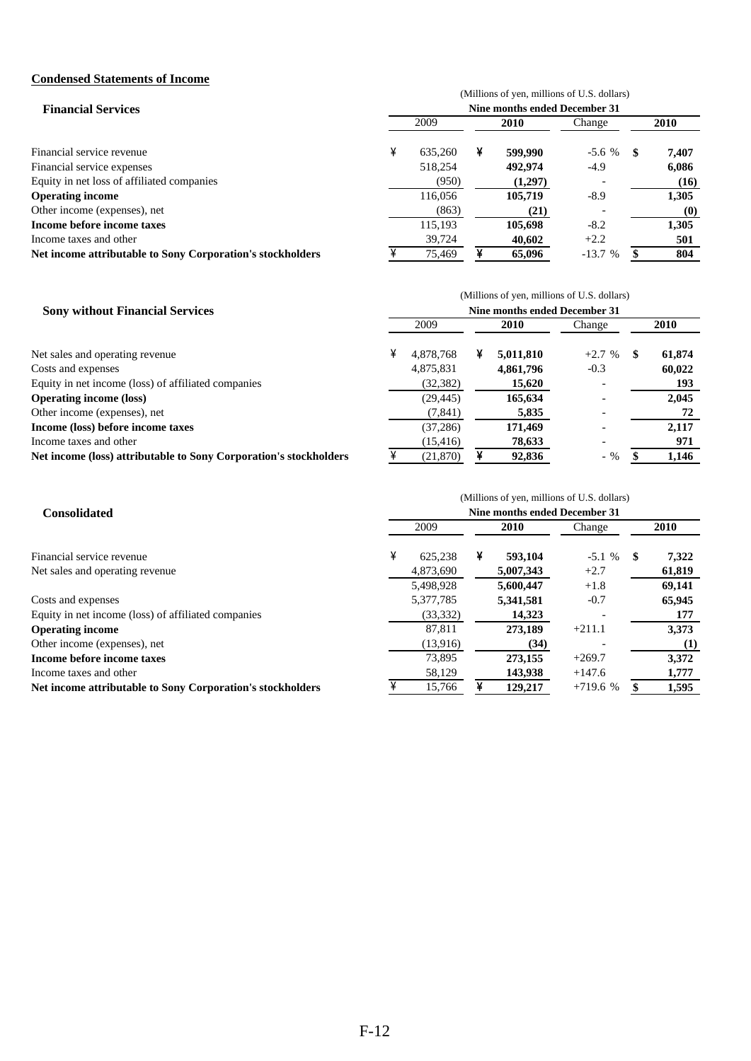## **Condensed Statements of Income**

| (Millions of yen, millions of U.S. dollars) |         |   |         |          |    |                               |  |  |  |
|---------------------------------------------|---------|---|---------|----------|----|-------------------------------|--|--|--|
| Nine months ended December 31               |         |   |         |          |    |                               |  |  |  |
|                                             | 2009    |   | 2010    | Change   |    | <b>2010</b>                   |  |  |  |
| ¥                                           | 635.260 | ¥ | 599,990 | $-5.6%$  | -S | 7,407                         |  |  |  |
|                                             | 518.254 |   | 492.974 | $-4.9$   |    | 6,086                         |  |  |  |
|                                             | (950)   |   | (1,297) |          |    | (16)                          |  |  |  |
|                                             | 116.056 |   | 105,719 | $-8.9$   |    | 1,305                         |  |  |  |
|                                             | (863)   |   | (21)    |          |    | $\boldsymbol{\left(0\right)}$ |  |  |  |
|                                             | 115.193 |   | 105,698 | $-8.2$   |    | 1,305                         |  |  |  |
|                                             | 39,724  |   | 40,602  | $+2.2$   |    | 501                           |  |  |  |
|                                             | 75.469  |   | 65,096  | $-13.7%$ |    | 804                           |  |  |  |
|                                             |         |   |         |          |    |                               |  |  |  |

|                                                                   | (Millions of yen, millions of U.S. dollars)<br>Nine months ended December 31 |           |   |             |         |  |             |  |  |  |
|-------------------------------------------------------------------|------------------------------------------------------------------------------|-----------|---|-------------|---------|--|-------------|--|--|--|
| <b>Sony without Financial Services</b>                            |                                                                              |           |   |             |         |  |             |  |  |  |
|                                                                   | 2009                                                                         |           |   | <b>2010</b> | Change  |  | <b>2010</b> |  |  |  |
| Net sales and operating revenue                                   | ¥                                                                            | 4,878,768 | ¥ | 5,011,810   | $+2.7%$ |  | 61,874      |  |  |  |
| Costs and expenses                                                |                                                                              | 4,875,831 |   | 4,861,796   | $-0.3$  |  | 60,022      |  |  |  |
| Equity in net income (loss) of affiliated companies               |                                                                              | (32,382)  |   | 15,620      |         |  | 193         |  |  |  |
| <b>Operating income (loss)</b>                                    |                                                                              | (29, 445) |   | 165,634     |         |  | 2,045       |  |  |  |
| Other income (expenses), net                                      |                                                                              | (7, 841)  |   | 5,835       |         |  | 72          |  |  |  |
| Income (loss) before income taxes                                 |                                                                              | (37, 286) |   | 171,469     |         |  | 2.117       |  |  |  |
| Income taxes and other                                            |                                                                              | (15, 416) |   | 78,633      |         |  | 971         |  |  |  |
| Net income (loss) attributable to Sony Corporation's stockholders |                                                                              | (21, 870) |   | 92,836      | $-$ %   |  | 1.146       |  |  |  |

|                                                            | (Millions of yen, millions of U.S. dollars) |           |   |             |           |    |        |  |  |  |
|------------------------------------------------------------|---------------------------------------------|-----------|---|-------------|-----------|----|--------|--|--|--|
| <b>Consolidated</b>                                        | Nine months ended December 31               |           |   |             |           |    |        |  |  |  |
|                                                            |                                             | 2009      |   | <b>2010</b> | Change    |    | 2010   |  |  |  |
| Financial service revenue                                  | ¥                                           | 625,238   | ¥ | 593,104     | $-5.1%$   | -S | 7,322  |  |  |  |
| Net sales and operating revenue                            |                                             | 4,873,690 |   | 5,007,343   | $+2.7$    |    | 61,819 |  |  |  |
|                                                            |                                             | 5,498,928 |   | 5,600,447   | $+1.8$    |    | 69.141 |  |  |  |
| Costs and expenses                                         |                                             | 5,377,785 |   | 5,341,581   | $-0.7$    |    | 65,945 |  |  |  |
| Equity in net income (loss) of affiliated companies        |                                             | (33, 332) |   | 14,323      |           |    | 177    |  |  |  |
| <b>Operating income</b>                                    |                                             | 87.811    |   | 273,189     | $+211.1$  |    | 3,373  |  |  |  |
| Other income (expenses), net                               |                                             | (13,916)  |   | (34)        |           |    | (1)    |  |  |  |
| Income before income taxes                                 |                                             | 73,895    |   | 273,155     | $+269.7$  |    | 3,372  |  |  |  |
| Income taxes and other                                     |                                             | 58,129    |   | 143,938     | $+147.6$  |    | 1,777  |  |  |  |
| Net income attributable to Sony Corporation's stockholders |                                             | 15.766    | ¥ | 129,217     | $+719.6%$ |    | 1.595  |  |  |  |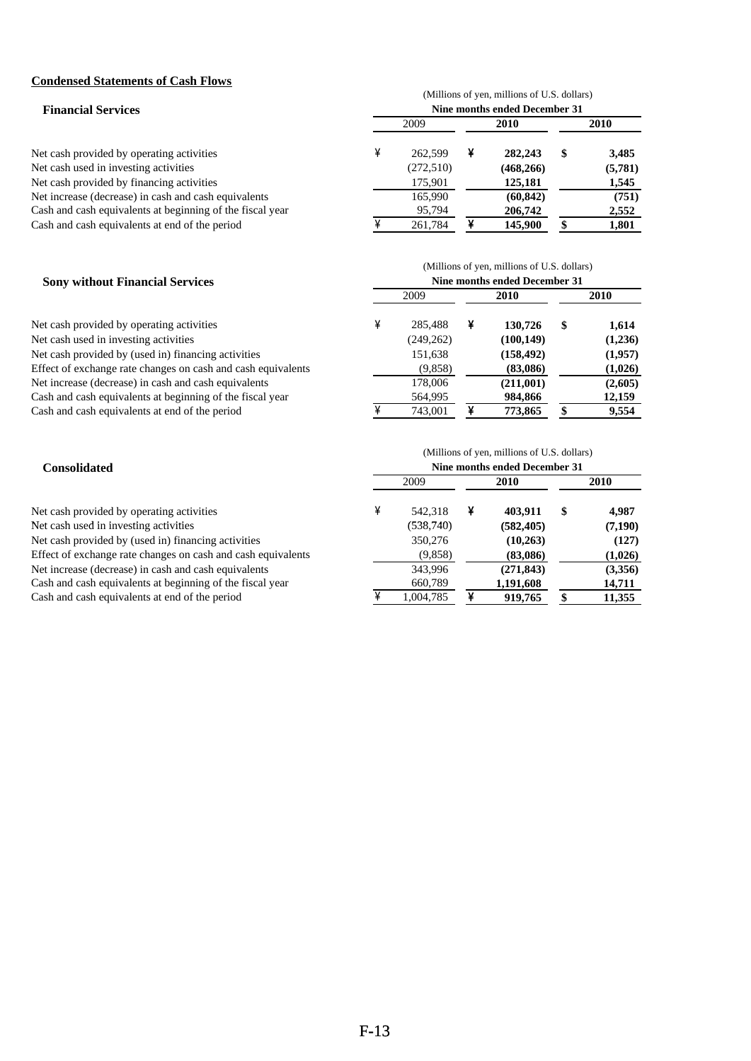## **Condensed Statements of Cash Flows**

| <b>Financial Services</b>                                 | (Millions of yen, millions of U.S. dollars)<br>Nine months ended December 31 |            |   |             |             |         |  |  |
|-----------------------------------------------------------|------------------------------------------------------------------------------|------------|---|-------------|-------------|---------|--|--|
|                                                           |                                                                              | 2009       |   | <b>2010</b> | <b>2010</b> |         |  |  |
| Net cash provided by operating activities                 | ¥                                                                            | 262,599    | ¥ | 282,243     |             | 3,485   |  |  |
| Net cash used in investing activities                     |                                                                              | (272, 510) |   | (468, 266)  |             | (5,781) |  |  |
| Net cash provided by financing activities                 |                                                                              | 175,901    |   | 125,181     |             | 1,545   |  |  |
| Net increase (decrease) in cash and cash equivalents      |                                                                              | 165,990    |   | (60, 842)   |             | (751)   |  |  |
| Cash and cash equivalents at beginning of the fiscal year |                                                                              | 95,794     |   | 206,742     |             | 2,552   |  |  |
| Cash and cash equivalents at end of the period            |                                                                              | 261,784    |   | 145,900     |             | 1,801   |  |  |

|                                                              | (Millions of yen, millions of U.S. dollars) |            |   |            |             |         |  |  |  |
|--------------------------------------------------------------|---------------------------------------------|------------|---|------------|-------------|---------|--|--|--|
| <b>Sony without Financial Services</b>                       | Nine months ended December 31               |            |   |            |             |         |  |  |  |
|                                                              |                                             | 2009       |   | 2010       | <b>2010</b> |         |  |  |  |
| Net cash provided by operating activities                    | ¥                                           | 285,488    | ¥ | 130,726    | S           | 1,614   |  |  |  |
| Net cash used in investing activities                        |                                             | (249, 262) |   | (100, 149) |             | (1,236) |  |  |  |
| Net cash provided by (used in) financing activities          |                                             | 151,638    |   | (158, 492) |             | (1,957) |  |  |  |
| Effect of exchange rate changes on cash and cash equivalents |                                             | (9,858)    |   | (83,086)   |             | (1,026) |  |  |  |
| Net increase (decrease) in cash and cash equivalents         |                                             | 178,006    |   | (211,001)  |             | (2,605) |  |  |  |
| Cash and cash equivalents at beginning of the fiscal year    |                                             | 564,995    |   | 984,866    |             | 12,159  |  |  |  |
| Cash and cash equivalents at end of the period               |                                             | 743,001    |   | 773,865    |             | 9,554   |  |  |  |

## **Consolidated**

| Net cash provided by operating activities                    | 542.318   | ¥ | 403.911    | \$<br>4.987 |
|--------------------------------------------------------------|-----------|---|------------|-------------|
| Net cash used in investing activities                        | (538,740) |   | (582, 405) | (7, 190)    |
| Net cash provided by (used in) financing activities          | 350,276   |   | (10, 263)  | (127)       |
| Effect of exchange rate changes on cash and cash equivalents | (9,858)   |   | (83,086)   | (1,026)     |
| Net increase (decrease) in cash and cash equivalents         | 343.996   |   | (271, 843) | (3,356)     |
| Cash and cash equivalents at beginning of the fiscal year    | 660.789   |   | 1,191,608  | 14.711      |
| Cash and cash equivalents at end of the period               | 1,004,785 |   | 919,765    | 11,355      |
|                                                              |           |   |            |             |

## (Millions of yen, millions of U.S. dollars)

| <b>Consolidated</b><br>Net cash provided by operating activities | Nine months ended December 31 |           |      |            |      |         |  |  |
|------------------------------------------------------------------|-------------------------------|-----------|------|------------|------|---------|--|--|
|                                                                  | 2009                          |           | 2010 |            | 2010 |         |  |  |
|                                                                  | ¥                             | 542.318   | ¥    | 403.911    | S    | 4,987   |  |  |
| Net cash used in investing activities                            |                               | (538,740) |      | (582, 405) |      | (7,190) |  |  |
| Net cash provided by (used in) financing activities              |                               | 350,276   |      | (10, 263)  |      | (127)   |  |  |
| Effect of exchange rate changes on cash and cash equivalents     |                               | (9,858)   |      | (83,086)   |      | (1,026) |  |  |
| Net increase (decrease) in cash and cash equivalents             |                               | 343,996   |      | (271, 843) |      | (3,356) |  |  |
| Cash and cash equivalents at beginning of the fiscal year        |                               | 660,789   |      | 1,191,608  |      | 14,711  |  |  |
| Cash and cash equivalents at end of the period                   |                               | 1,004,785 |      | 919,765    |      | 11,355  |  |  |
|                                                                  |                               |           |      |            |      |         |  |  |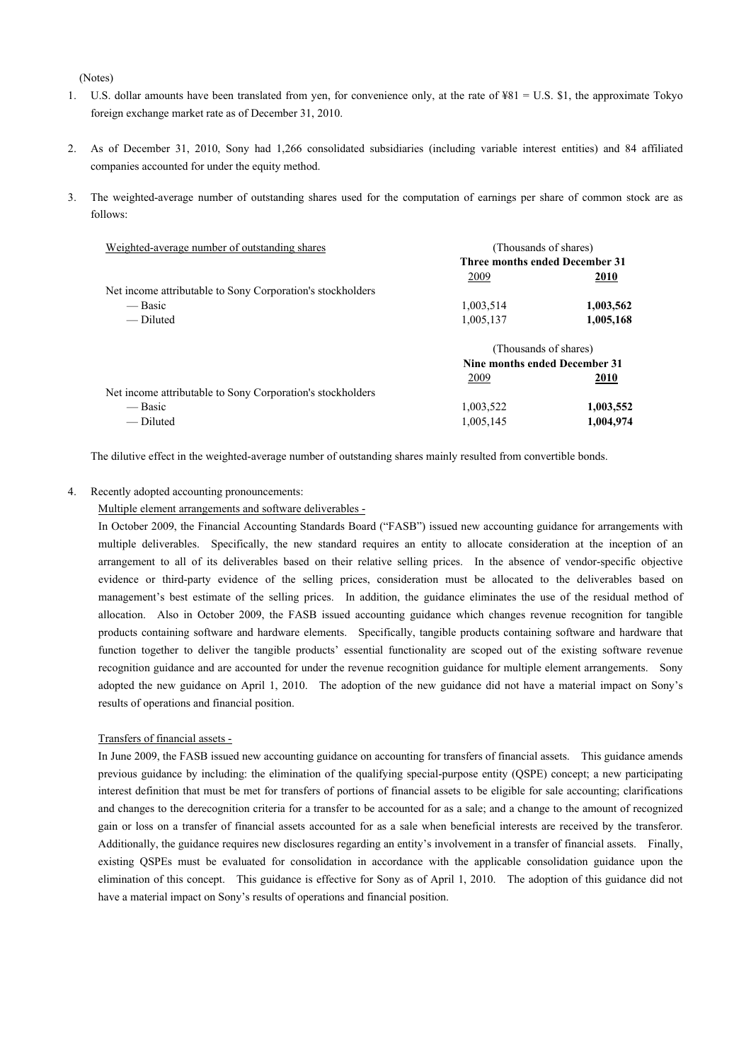(Notes)

- 1. U.S. dollar amounts have been translated from yen, for convenience only, at the rate of ¥81 = U.S. \$1, the approximate Tokyo foreign exchange market rate as of December 31, 2010.
- 2. As of December 31, 2010, Sony had 1,266 consolidated subsidiaries (including variable interest entities) and 84 affiliated companies accounted for under the equity method.
- 3. The weighted-average number of outstanding shares used for the computation of earnings per share of common stock are as follows:

| Weighted-average number of outstanding shares              | (Thousands of shares)          |             |  |  |  |
|------------------------------------------------------------|--------------------------------|-------------|--|--|--|
|                                                            | Three months ended December 31 |             |  |  |  |
|                                                            | 2009                           | <b>2010</b> |  |  |  |
| Net income attributable to Sony Corporation's stockholders |                                |             |  |  |  |
| — Basic                                                    | 1,003,514                      | 1,003,562   |  |  |  |
| — Diluted                                                  | 1,005,137                      | 1,005,168   |  |  |  |
|                                                            | (Thousands of shares)          |             |  |  |  |
|                                                            | Nine months ended December 31  |             |  |  |  |
|                                                            | 2009                           | <b>2010</b> |  |  |  |
| Net income attributable to Sony Corporation's stockholders |                                |             |  |  |  |
| — Basic                                                    | 1,003,522                      | 1,003,552   |  |  |  |
| — Diluted                                                  | 1.005.145                      | 1,004,974   |  |  |  |

The dilutive effect in the weighted-average number of outstanding shares mainly resulted from convertible bonds.

#### 4. Recently adopted accounting pronouncements:

#### Multiple element arrangements and software deliverables -

In October 2009, the Financial Accounting Standards Board ("FASB") issued new accounting guidance for arrangements with multiple deliverables. Specifically, the new standard requires an entity to allocate consideration at the inception of an arrangement to all of its deliverables based on their relative selling prices. In the absence of vendor-specific objective evidence or third-party evidence of the selling prices, consideration must be allocated to the deliverables based on management's best estimate of the selling prices. In addition, the guidance eliminates the use of the residual method of allocation. Also in October 2009, the FASB issued accounting guidance which changes revenue recognition for tangible products containing software and hardware elements. Specifically, tangible products containing software and hardware that function together to deliver the tangible products' essential functionality are scoped out of the existing software revenue recognition guidance and are accounted for under the revenue recognition guidance for multiple element arrangements. Sony adopted the new guidance on April 1, 2010. The adoption of the new guidance did not have a material impact on Sony's results of operations and financial position.

#### Transfers of financial assets -

In June 2009, the FASB issued new accounting guidance on accounting for transfers of financial assets. This guidance amends previous guidance by including: the elimination of the qualifying special-purpose entity (QSPE) concept; a new participating interest definition that must be met for transfers of portions of financial assets to be eligible for sale accounting; clarifications and changes to the derecognition criteria for a transfer to be accounted for as a sale; and a change to the amount of recognized gain or loss on a transfer of financial assets accounted for as a sale when beneficial interests are received by the transferor. Additionally, the guidance requires new disclosures regarding an entity's involvement in a transfer of financial assets. Finally, existing QSPEs must be evaluated for consolidation in accordance with the applicable consolidation guidance upon the elimination of this concept. This guidance is effective for Sony as of April 1, 2010. The adoption of this guidance did not have a material impact on Sony's results of operations and financial position.